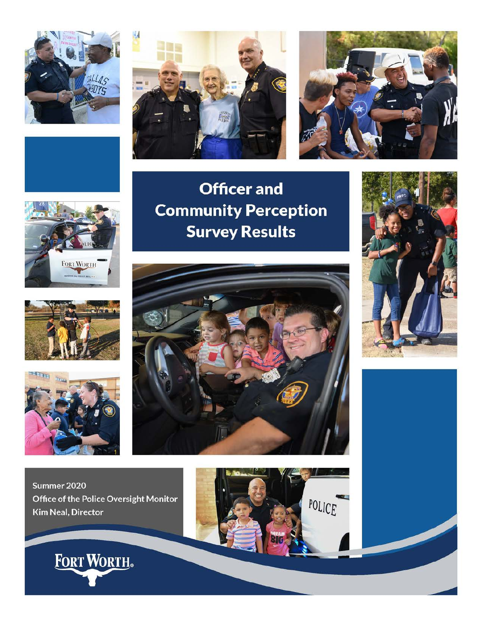







**Officer and Community Perception Survey Results** 









Summer 2020 Office of the Police Oversight Monitor **Kim Neal, Director** 



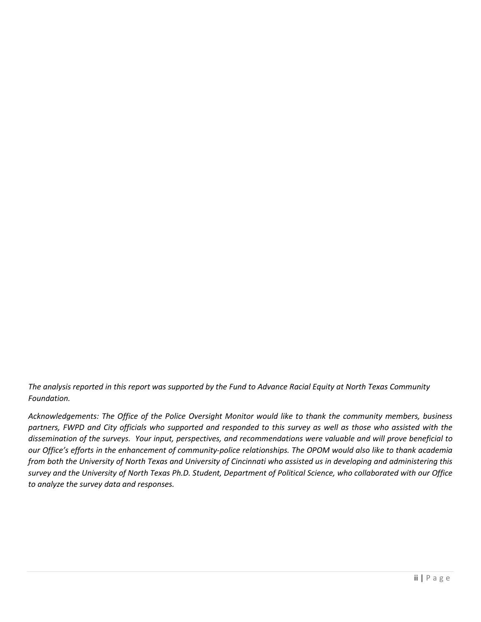*The analysis reported in this report was supported by the Fund to Advance Racial Equity at North Texas Community Foundation.*

*Acknowledgements: The Office of the Police Oversight Monitor would like to thank the community members, business partners, FWPD and City officials who supported and responded to this survey as well as those who assisted with the dissemination of the surveys. Your input, perspectives, and recommendations were valuable and will prove beneficial to our Office's efforts in the enhancement of community-police relationships. The OPOM would also like to thank academia from both the University of North Texas and University of Cincinnati who assisted us in developing and administering this survey and the University of North Texas Ph.D. Student, Department of Political Science, who collaborated with our Office to analyze the survey data and responses.*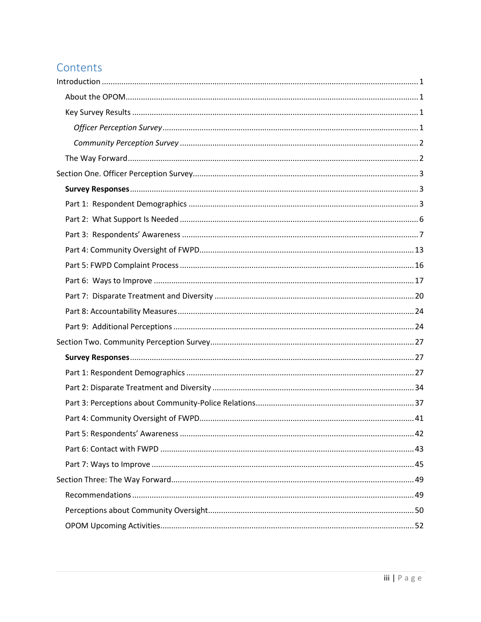# Contents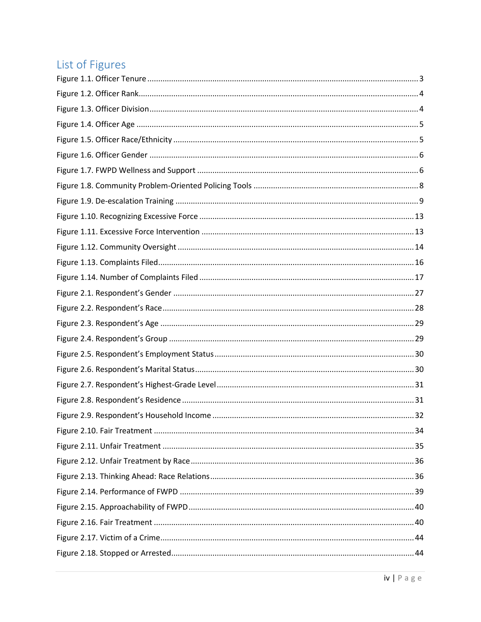# List of Figures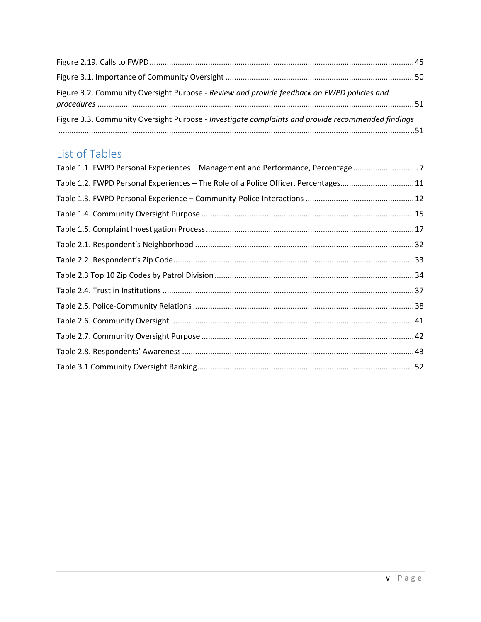| Figure 3.2. Community Oversight Purpose - Review and provide feedback on FWPD policies and        |  |
|---------------------------------------------------------------------------------------------------|--|
| Figure 3.3. Community Oversight Purpose - Investigate complaints and provide recommended findings |  |
|                                                                                                   |  |

# List of Tables

| Table 1.1. FWPD Personal Experiences - Management and Performance, Percentage7     |  |
|------------------------------------------------------------------------------------|--|
| Table 1.2. FWPD Personal Experiences - The Role of a Police Officer, Percentages11 |  |
|                                                                                    |  |
|                                                                                    |  |
|                                                                                    |  |
|                                                                                    |  |
|                                                                                    |  |
|                                                                                    |  |
|                                                                                    |  |
|                                                                                    |  |
|                                                                                    |  |
|                                                                                    |  |
|                                                                                    |  |
|                                                                                    |  |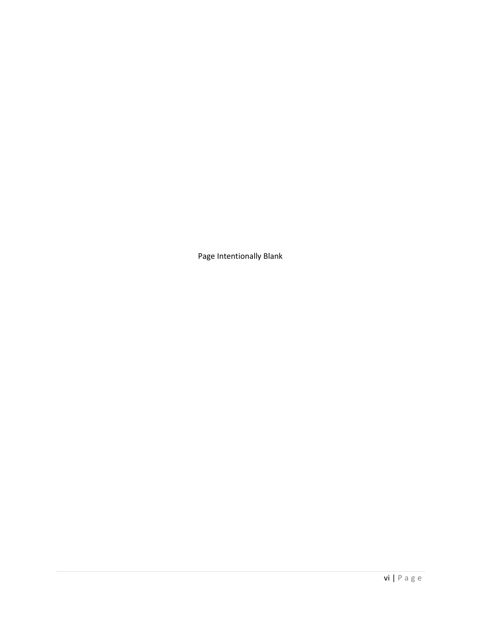Page Intentionally Blank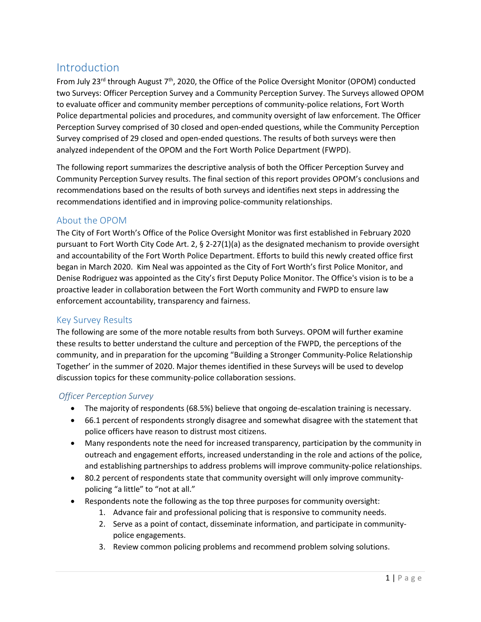## <span id="page-6-0"></span>**Introduction**

From July 23<sup>rd</sup> through August  $7<sup>th</sup>$ , 2020, the Office of the Police Oversight Monitor (OPOM) conducted two Surveys: Officer Perception Survey and a Community Perception Survey. The Surveys allowed OPOM to evaluate officer and community member perceptions of community-police relations, Fort Worth Police departmental policies and procedures, and community oversight of law enforcement. The Officer Perception Survey comprised of 30 closed and open-ended questions, while the Community Perception Survey comprised of 29 closed and open-ended questions. The results of both surveys were then analyzed independent of the OPOM and the Fort Worth Police Department (FWPD).

The following report summarizes the descriptive analysis of both the Officer Perception Survey and Community Perception Survey results. The final section of this report provides OPOM's conclusions and recommendations based on the results of both surveys and identifies next steps in addressing the recommendations identified and in improving police-community relationships.

### <span id="page-6-1"></span>About the OPOM

The City of Fort Worth's Office of the Police Oversight Monitor was first established in February 2020 pursuant to Fort Worth City Code Art. 2, § 2-27(1)(a) as the designated mechanism to provide oversight and accountability of the Fort Worth Police Department. Efforts to build this newly created office first began in March 2020. Kim Neal was appointed as the City of Fort Worth's first Police Monitor, and Denise Rodriguez was appointed as the City's first Deputy Police Monitor. The Office's vision is to be a proactive leader in collaboration between the Fort Worth community and FWPD to ensure law enforcement accountability, transparency and fairness.

### <span id="page-6-2"></span>Key Survey Results

The following are some of the more notable results from both Surveys. OPOM will further examine these results to better understand the culture and perception of the FWPD, the perceptions of the community, and in preparation for the upcoming "Building a Stronger Community-Police Relationship Together' in the summer of 2020. Major themes identified in these Surveys will be used to develop discussion topics for these community-police collaboration sessions.

### <span id="page-6-3"></span>*Officer Perception Survey*

- The majority of respondents (68.5%) believe that ongoing de-escalation training is necessary.
- 66.1 percent of respondents strongly disagree and somewhat disagree with the statement that police officers have reason to distrust most citizens.
- Many respondents note the need for increased transparency, participation by the community in outreach and engagement efforts, increased understanding in the role and actions of the police, and establishing partnerships to address problems will improve community-police relationships.
- 80.2 percent of respondents state that community oversight will only improve communitypolicing "a little" to "not at all."
- Respondents note the following as the top three purposes for community oversight:
	- 1. Advance fair and professional policing that is responsive to community needs.
	- 2. Serve as a point of contact, disseminate information, and participate in communitypolice engagements.
	- 3. Review common policing problems and recommend problem solving solutions.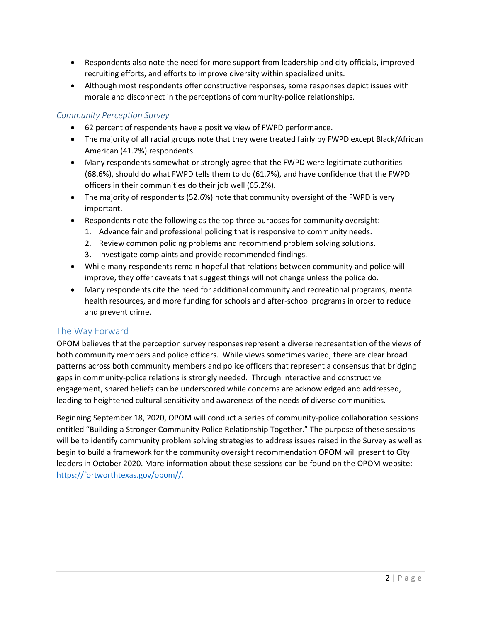- Respondents also note the need for more support from leadership and city officials, improved recruiting efforts, and efforts to improve diversity within specialized units.
- Although most respondents offer constructive responses, some responses depict issues with morale and disconnect in the perceptions of community-police relationships.

#### <span id="page-7-0"></span>*Community Perception Survey*

- 62 percent of respondents have a positive view of FWPD performance.
- The majority of all racial groups note that they were treated fairly by FWPD except Black/African American (41.2%) respondents.
- Many respondents somewhat or strongly agree that the FWPD were legitimate authorities (68.6%), should do what FWPD tells them to do (61.7%), and have confidence that the FWPD officers in their communities do their job well (65.2%).
- The majority of respondents (52.6%) note that community oversight of the FWPD is very important.
- Respondents note the following as the top three purposes for community oversight:
	- 1. Advance fair and professional policing that is responsive to community needs.
	- 2. Review common policing problems and recommend problem solving solutions.
	- 3. Investigate complaints and provide recommended findings.
- While many respondents remain hopeful that relations between community and police will improve, they offer caveats that suggest things will not change unless the police do.
- Many respondents cite the need for additional community and recreational programs, mental health resources, and more funding for schools and after-school programs in order to reduce and prevent crime.

### <span id="page-7-1"></span>The Way Forward

OPOM believes that the perception survey responses represent a diverse representation of the views of both community members and police officers. While views sometimes varied, there are clear broad patterns across both community members and police officers that represent a consensus that bridging gaps in community-police relations is strongly needed. Through interactive and constructive engagement, shared beliefs can be underscored while concerns are acknowledged and addressed, leading to heightened cultural sensitivity and awareness of the needs of diverse communities.

Beginning September 18, 2020, OPOM will conduct a series of community-police collaboration sessions entitled "Building a Stronger Community-Police Relationship Together." The purpose of these sessions will be to identify community problem solving strategies to address issues raised in the Survey as well as begin to build a framework for the community oversight recommendation OPOM will present to City leaders in October 2020. More information about these sessions can be found on the OPOM website: [https://fortworthtexas.gov/opom//.](https://fortworthtexas.gov/opom/)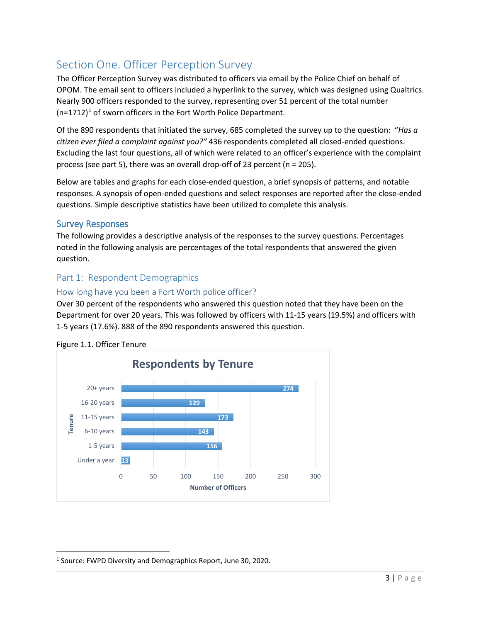# <span id="page-8-0"></span>Section One. Officer Perception Survey

The Officer Perception Survey was distributed to officers via email by the Police Chief on behalf of OPOM. The email sent to officers included a hyperlink to the survey, which was designed using Qualtrics. Nearly 900 officers responded to the survey, representing over 51 percent of the total number  $(n=1712)^1$  $(n=1712)^1$  $(n=1712)^1$  of sworn officers in the Fort Worth Police Department.

Of the 890 respondents that initiated the survey, 685 completed the survey up to the question: "*Has a citizen ever filed a complaint against you?"* 436 respondents completed all closed-ended questions. Excluding the last four questions, all of which were related to an officer's experience with the complaint process (see part 5), there was an overall drop-off of 23 percent (n = 205).

Below are tables and graphs for each close-ended question, a brief synopsis of patterns, and notable responses. A synopsis of open-ended questions and select responses are reported after the close-ended questions. Simple descriptive statistics have been utilized to complete this analysis.

### <span id="page-8-1"></span>Survey Responses

The following provides a descriptive analysis of the responses to the survey questions. Percentages noted in the following analysis are percentages of the total respondents that answered the given question.

### <span id="page-8-2"></span>Part 1: Respondent Demographics

### How long have you been a Fort Worth police officer?

Over 30 percent of the respondents who answered this question noted that they have been on the Department for over 20 years. This was followed by officers with 11-15 years (19.5%) and officers with 1-5 years (17.6%). 888 of the 890 respondents answered this question.



<span id="page-8-3"></span>Figure 1.1. Officer Tenure

<span id="page-8-4"></span> <sup>1</sup> Source: FWPD Diversity and Demographics Report, June 30, 2020.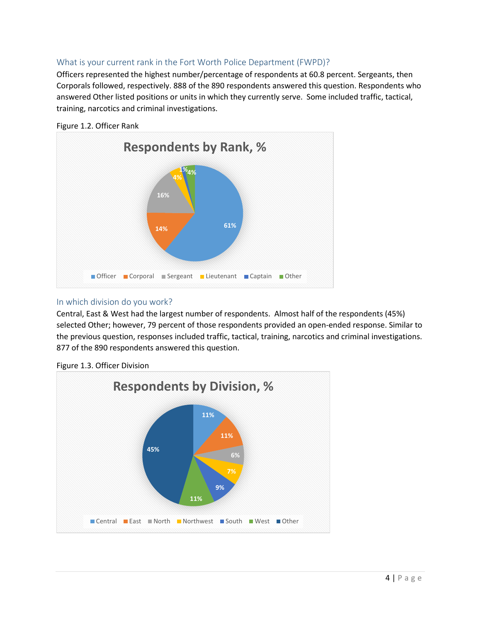#### What is your current rank in the Fort Worth Police Department (FWPD)?

Officers represented the highest number/percentage of respondents at 60.8 percent. Sergeants, then Corporals followed, respectively. 888 of the 890 respondents answered this question. Respondents who answered Other listed positions or units in which they currently serve. Some included traffic, tactical, training, narcotics and criminal investigations.



<span id="page-9-0"></span>

#### In which division do you work?

Central, East & West had the largest number of respondents. Almost half of the respondents (45%) selected Other; however, 79 percent of those respondents provided an open-ended response. Similar to the previous question, responses included traffic, tactical, training, narcotics and criminal investigations. 877 of the 890 respondents answered this question.



<span id="page-9-1"></span>Figure 1.3. Officer Division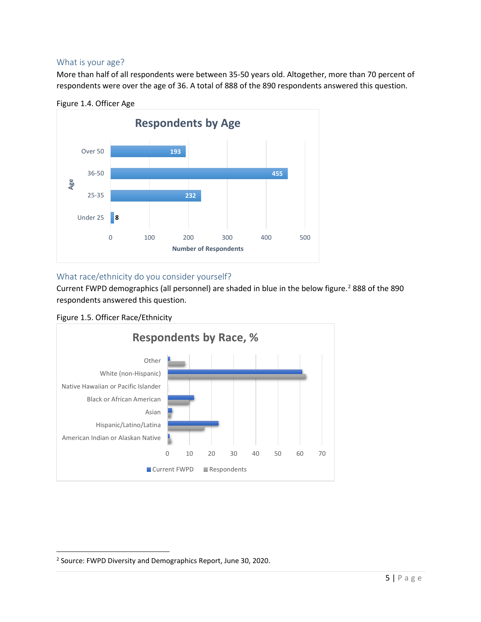#### What is your age?

More than half of all respondents were between 35-50 years old. Altogether, more than 70 percent of respondents were over the age of 36. A total of 888 of the 890 respondents answered this question.



<span id="page-10-0"></span>Figure 1.4. Officer Age

#### What race/ethnicity do you consider yourself?

Current FWPD demographics (all personnel) are shaded in blue in the below figure. [2](#page-10-2) 888 of the 890 respondents answered this question.



<span id="page-10-1"></span>Figure 1.5. Officer Race/Ethnicity

<span id="page-10-2"></span> <sup>2</sup> Source: FWPD Diversity and Demographics Report, June 30, 2020.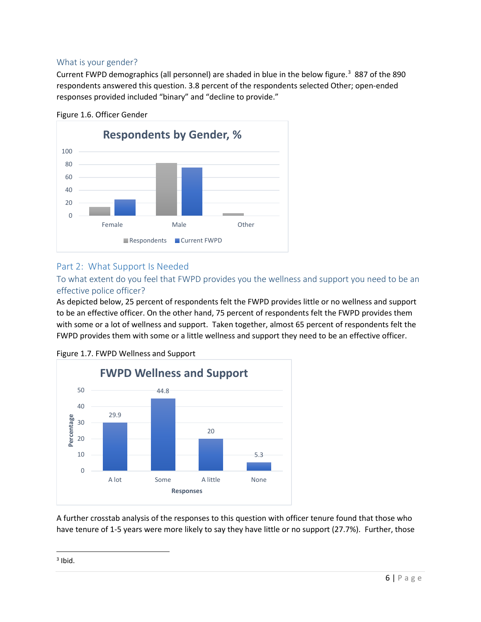#### What is your gender?

Current FWPD demographics (all personnel) are shaded in blue in the below figure. [3](#page-11-3) 887 of the 890 respondents answered this question. 3.8 percent of the respondents selected Other; open-ended responses provided included "binary" and "decline to provide."



Respondents Current FWPD

<span id="page-11-1"></span>Figure 1.6. Officer Gender

### <span id="page-11-0"></span>Part 2: What Support Is Needed

To what extent do you feel that FWPD provides you the wellness and support you need to be an effective police officer?

As depicted below, 25 percent of respondents felt the FWPD provides little or no wellness and support to be an effective officer. On the other hand, 75 percent of respondents felt the FWPD provides them with some or a lot of wellness and support. Taken together, almost 65 percent of respondents felt the FWPD provides them with some or a little wellness and support they need to be an effective officer.



<span id="page-11-2"></span>Figure 1.7. FWPD Wellness and Support

A further crosstab analysis of the responses to this question with officer tenure found that those who have tenure of 1-5 years were more likely to say they have little or no support (27.7%). Further, those

<span id="page-11-3"></span> $3$  Ibid.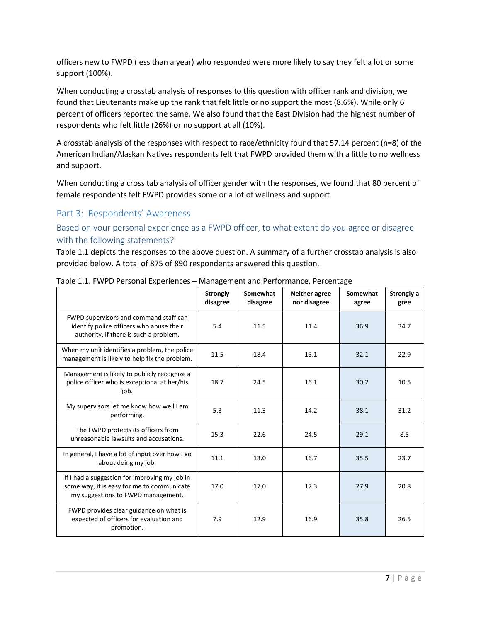officers new to FWPD (less than a year) who responded were more likely to say they felt a lot or some support (100%).

When conducting a crosstab analysis of responses to this question with officer rank and division, we found that Lieutenants make up the rank that felt little or no support the most (8.6%). While only 6 percent of officers reported the same. We also found that the East Division had the highest number of respondents who felt little (26%) or no support at all (10%).

A crosstab analysis of the responses with respect to race/ethnicity found that 57.14 percent (n=8) of the American Indian/Alaskan Natives respondents felt that FWPD provided them with a little to no wellness and support.

When conducting a cross tab analysis of officer gender with the responses, we found that 80 percent of female respondents felt FWPD provides some or a lot of wellness and support.

### <span id="page-12-0"></span>Part 3: Respondents' Awareness

### Based on your personal experience as a FWPD officer, to what extent do you agree or disagree with the following statements?

Table 1.1 depicts the responses to the above question. A summary of a further crosstab analysis is also provided below. A total of 875 of 890 respondents answered this question.

|                                                                                                                                   | <b>Strongly</b><br>disagree | Somewhat<br>disagree | <b>Neither agree</b><br>nor disagree | Somewhat<br>agree | Strongly a<br>gree |
|-----------------------------------------------------------------------------------------------------------------------------------|-----------------------------|----------------------|--------------------------------------|-------------------|--------------------|
| FWPD supervisors and command staff can<br>identify police officers who abuse their<br>authority, if there is such a problem.      | 5.4                         | 11.5                 | 11.4                                 | 36.9              | 34.7               |
| When my unit identifies a problem, the police<br>management is likely to help fix the problem.                                    | 11.5                        | 18.4<br>15.1         |                                      | 32.1              | 22.9               |
| Management is likely to publicly recognize a<br>police officer who is exceptional at her/his<br>job.                              | 18.7                        | 24.5                 | 16.1                                 | 30.2              | 10.5               |
| My supervisors let me know how well I am<br>performing.                                                                           | 5.3                         | 11.3                 | 14.2                                 | 38.1              | 31.2               |
| The FWPD protects its officers from<br>unreasonable lawsuits and accusations.                                                     | 15.3                        | 22.6                 | 24.5                                 | 29.1              | 8.5                |
| In general, I have a lot of input over how I go<br>about doing my job.                                                            | 11.1                        | 13.0                 | 16.7                                 | 35.5              | 23.7               |
| If I had a suggestion for improving my job in<br>some way, it is easy for me to communicate<br>my suggestions to FWPD management. | 17.0                        | 17.0                 | 17.3                                 | 27.9              | 20.8               |
| FWPD provides clear guidance on what is<br>expected of officers for evaluation and<br>promotion.                                  | 7.9                         | 12.9                 | 16.9                                 | 35.8              | 26.5               |

#### <span id="page-12-1"></span>Table 1.1. FWPD Personal Experiences – Management and Performance, Percentage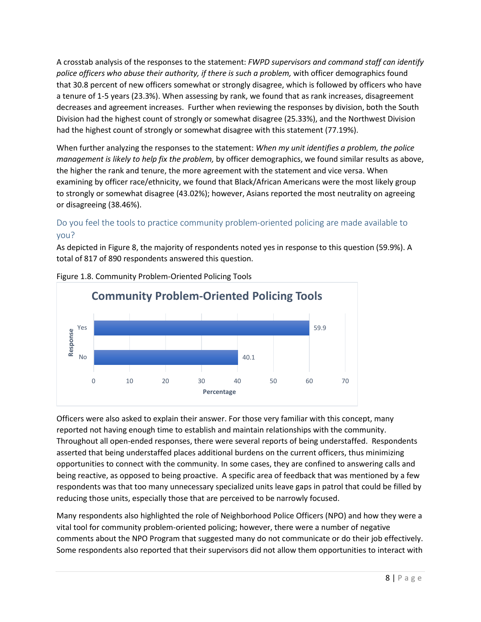A crosstab analysis of the responses to the statement: *FWPD supervisors and command staff can identify*  police officers who abuse their authority, if there is such a problem, with officer demographics found that 30.8 percent of new officers somewhat or strongly disagree, which is followed by officers who have a tenure of 1-5 years (23.3%). When assessing by rank, we found that as rank increases, disagreement decreases and agreement increases. Further when reviewing the responses by division, both the South Division had the highest count of strongly or somewhat disagree (25.33%), and the Northwest Division had the highest count of strongly or somewhat disagree with this statement (77.19%).

When further analyzing the responses to the statement: *When my unit identifies a problem, the police management is likely to help fix the problem,* by officer demographics, we found similar results as above, the higher the rank and tenure, the more agreement with the statement and vice versa. When examining by officer race/ethnicity, we found that Black/African Americans were the most likely group to strongly or somewhat disagree (43.02%); however, Asians reported the most neutrality on agreeing or disagreeing (38.46%).

### Do you feel the tools to practice community problem-oriented policing are made available to you?

As depicted in Figure 8, the majority of respondents noted yes in response to this question (59.9%). A total of 817 of 890 respondents answered this question.



<span id="page-13-0"></span>Figure 1.8. Community Problem-Oriented Policing Tools

Officers were also asked to explain their answer. For those very familiar with this concept, many reported not having enough time to establish and maintain relationships with the community. Throughout all open-ended responses, there were several reports of being understaffed. Respondents asserted that being understaffed places additional burdens on the current officers, thus minimizing opportunities to connect with the community. In some cases, they are confined to answering calls and being reactive, as opposed to being proactive. A specific area of feedback that was mentioned by a few respondents was that too many unnecessary specialized units leave gaps in patrol that could be filled by reducing those units, especially those that are perceived to be narrowly focused.

Many respondents also highlighted the role of Neighborhood Police Officers (NPO) and how they were a vital tool for community problem-oriented policing; however, there were a number of negative comments about the NPO Program that suggested many do not communicate or do their job effectively. Some respondents also reported that their supervisors did not allow them opportunities to interact with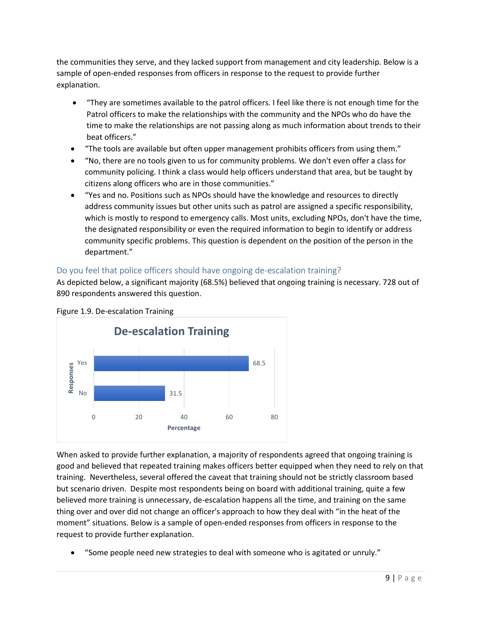the communities they serve, and they lacked support from management and city leadership. Below is a sample of open-ended responses from officers in response to the request to provide further explanation.

- "They are sometimes available to the patrol officers. I feel like there is not enough time for the Patrol officers to make the relationships with the community and the NPOs who do have the time to make the relationships are not passing along as much information about trends to their beat officers."
- "The tools are available but often upper management prohibits officers from using them."
- "No, there are no tools given to us for community problems. We don't even offer a class for community policing. I think a class would help officers understand that area, but be taught by citizens along officers who are in those communities."
- "Yes and no. Positions such as NPOs should have the knowledge and resources to directly address community issues but other units such as patrol are assigned a specific responsibility, which is mostly to respond to emergency calls. Most units, excluding NPOs, don't have the time, the designated responsibility or even the required information to begin to identify or address community specific problems. This question is dependent on the position of the person in the department."

### Do you feel that police officers should have ongoing de-escalation training?

As depicted below, a significant majority (68.5%) believed that ongoing training is necessary. 728 out of 890 respondents answered this question.



<span id="page-14-0"></span>Figure 1.9. De-escalation Training

When asked to provide further explanation, a majority of respondents agreed that ongoing training is good and believed that repeated training makes officers better equipped when they need to rely on that training. Nevertheless, several offered the caveat that training should not be strictly classroom based but scenario driven. Despite most respondents being on board with additional training, quite a few believed more training is unnecessary, de-escalation happens all the time, and training on the same thing over and over did not change an officer's approach to how they deal with "in the heat of the moment" situations. Below is a sample of open-ended responses from officers in response to the request to provide further explanation.

• "Some people need new strategies to deal with someone who is agitated or unruly."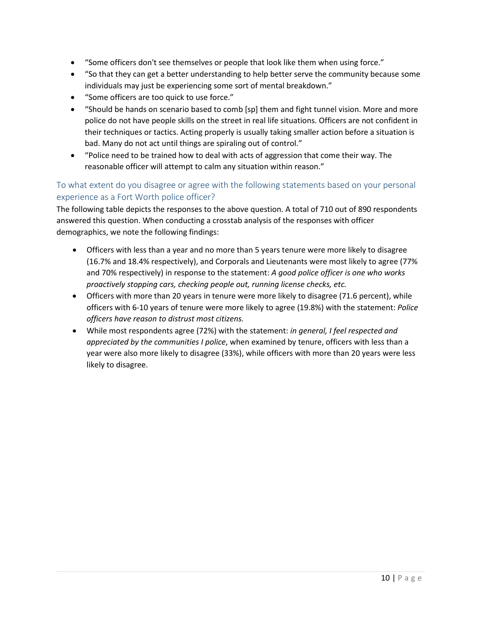- "Some officers don't see themselves or people that look like them when using force."
- "So that they can get a better understanding to help better serve the community because some individuals may just be experiencing some sort of mental breakdown."
- "Some officers are too quick to use force."
- "Should be hands on scenario based to comb [sp] them and fight tunnel vision. More and more police do not have people skills on the street in real life situations. Officers are not confident in their techniques or tactics. Acting properly is usually taking smaller action before a situation is bad. Many do not act until things are spiraling out of control."
- "Police need to be trained how to deal with acts of aggression that come their way. The reasonable officer will attempt to calm any situation within reason."

### To what extent do you disagree or agree with the following statements based on your personal experience as a Fort Worth police officer?

The following table depicts the responses to the above question. A total of 710 out of 890 respondents answered this question. When conducting a crosstab analysis of the responses with officer demographics, we note the following findings:

- Officers with less than a year and no more than 5 years tenure were more likely to disagree (16.7% and 18.4% respectively), and Corporals and Lieutenants were most likely to agree (77% and 70% respectively) in response to the statement: *A good police officer is one who works proactively stopping cars, checking people out, running license checks, etc.*
- Officers with more than 20 years in tenure were more likely to disagree (71.6 percent), while officers with 6-10 years of tenure were more likely to agree (19.8%) with the statement: *Police officers have reason to distrust most citizens.*
- While most respondents agree (72%) with the statement: *in general, I feel respected and appreciated by the communities I police*, when examined by tenure, officers with less than a year were also more likely to disagree (33%), while officers with more than 20 years were less likely to disagree.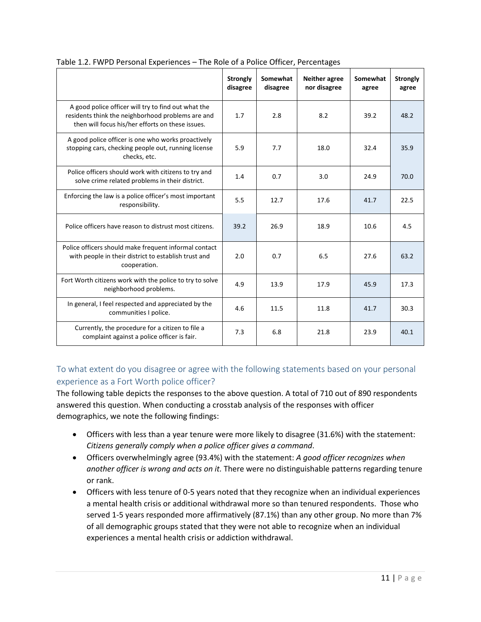|                                                                                                                                                              | <b>Strongly</b><br>disagree | Somewhat<br>disagree | <b>Neither agree</b><br>nor disagree | Somewhat<br>agree | <b>Strongly</b><br>agree |
|--------------------------------------------------------------------------------------------------------------------------------------------------------------|-----------------------------|----------------------|--------------------------------------|-------------------|--------------------------|
| A good police officer will try to find out what the<br>residents think the neighborhood problems are and<br>then will focus his/her efforts on these issues. | 1.7                         | 2.8                  | 8.2                                  | 39.2              | 48.2                     |
| A good police officer is one who works proactively<br>stopping cars, checking people out, running license<br>checks, etc.                                    | 5.9                         | 7.7                  | 18.0                                 | 32.4              | 35.9                     |
| Police officers should work with citizens to try and<br>solve crime related problems in their district.                                                      | 1.4                         | 0.7                  | 3.0                                  | 24.9              | 70.0                     |
| Enforcing the law is a police officer's most important<br>responsibility.                                                                                    | 5.5                         | 12.7                 | 17.6                                 | 41.7              | 22.5                     |
| Police officers have reason to distrust most citizens.                                                                                                       | 39.2                        | 26.9                 | 18.9                                 | 10.6              | 4.5                      |
| Police officers should make frequent informal contact<br>with people in their district to establish trust and<br>cooperation.                                | 2.0                         | 0.7                  | 6.5                                  | 27.6              | 63.2                     |
| Fort Worth citizens work with the police to try to solve<br>neighborhood problems.                                                                           | 4.9                         | 13.9                 | 17.9                                 | 45.9              | 17.3                     |
| In general, I feel respected and appreciated by the<br>communities I police.                                                                                 | 4.6                         | 11.5                 | 11.8                                 | 41.7              | 30.3                     |
| Currently, the procedure for a citizen to file a<br>complaint against a police officer is fair.                                                              | 7.3                         | 6.8                  | 21.8                                 | 23.9              | 40.1                     |

#### <span id="page-16-0"></span>Table 1.2. FWPD Personal Experiences – The Role of a Police Officer, Percentages

### To what extent do you disagree or agree with the following statements based on your personal experience as a Fort Worth police officer?

The following table depicts the responses to the above question. A total of 710 out of 890 respondents answered this question. When conducting a crosstab analysis of the responses with officer demographics, we note the following findings:

- Officers with less than a year tenure were more likely to disagree (31.6%) with the statement: *Citizens generally comply when a police officer gives a command*.
- Officers overwhelmingly agree (93.4%) with the statement: *A good officer recognizes when another officer is wrong and acts on it.* There were no distinguishable patterns regarding tenure or rank.
- Officers with less tenure of 0-5 years noted that they recognize when an individual experiences a mental health crisis or additional withdrawal more so than tenured respondents. Those who served 1-5 years responded more affirmatively (87.1%) than any other group. No more than 7% of all demographic groups stated that they were not able to recognize when an individual experiences a mental health crisis or addiction withdrawal.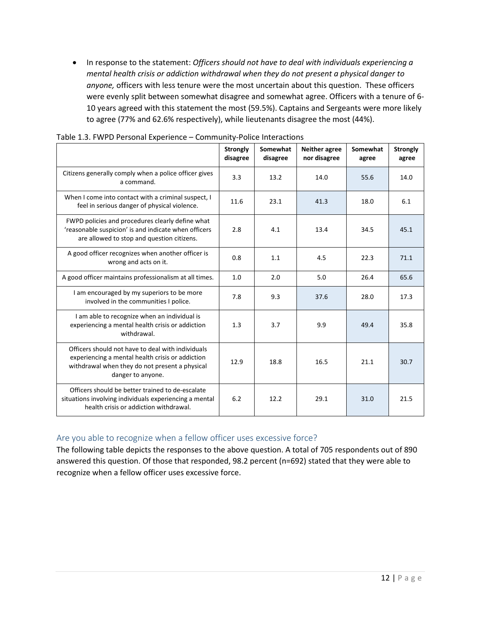• In response to the statement: *Officers should not have to deal with individuals experiencing a mental health crisis or addiction withdrawal when they do not present a physical danger to anyone,* officers with less tenure were the most uncertain about this question. These officers were evenly split between somewhat disagree and somewhat agree. Officers with a tenure of 6- 10 years agreed with this statement the most (59.5%). Captains and Sergeants were more likely to agree (77% and 62.6% respectively), while lieutenants disagree the most (44%).

|                                                                                                                                                                              | <b>Strongly</b><br>disagree | Somewhat<br>disagree | <b>Neither agree</b><br>nor disagree | Somewhat<br>agree | <b>Strongly</b><br>agree |
|------------------------------------------------------------------------------------------------------------------------------------------------------------------------------|-----------------------------|----------------------|--------------------------------------|-------------------|--------------------------|
| Citizens generally comply when a police officer gives<br>a command.                                                                                                          | 3.3                         | 13.2                 | 14.0                                 | 55.6              | 14.0                     |
| When I come into contact with a criminal suspect, I<br>feel in serious danger of physical violence.                                                                          | 11.6                        | 23.1                 | 41.3                                 | 18.0              | 6.1                      |
| FWPD policies and procedures clearly define what<br>'reasonable suspicion' is and indicate when officers<br>are allowed to stop and question citizens.                       | 2.8                         | 4.1                  | 13.4                                 | 34.5              | 45.1                     |
| A good officer recognizes when another officer is<br>wrong and acts on it.                                                                                                   | 0.8                         | 1.1                  | 4.5                                  | 22.3              | 71.1                     |
| A good officer maintains professionalism at all times.                                                                                                                       | 1.0                         | 2.0                  | 5.0                                  | 26.4              | 65.6                     |
| I am encouraged by my superiors to be more<br>involved in the communities I police.                                                                                          | 7.8                         | 9.3                  | 37.6                                 | 28.0              | 17.3                     |
| I am able to recognize when an individual is<br>experiencing a mental health crisis or addiction<br>withdrawal.                                                              | 1.3                         | 3.7                  | 9.9                                  | 49.4              | 35.8                     |
| Officers should not have to deal with individuals<br>experiencing a mental health crisis or addiction<br>withdrawal when they do not present a physical<br>danger to anyone. | 12.9                        | 18.8                 | 16.5                                 | 21.1              | 30.7                     |
| Officers should be better trained to de-escalate<br>situations involving individuals experiencing a mental<br>health crisis or addiction withdrawal.                         | 6.2                         | 12.2                 | 29.1                                 | 31.0              | 21.5                     |

#### <span id="page-17-1"></span>Table 1.3. FWPD Personal Experience – Community-Police Interactions

#### Are you able to recognize when a fellow officer uses excessive force?

<span id="page-17-0"></span>The following table depicts the responses to the above question. A total of 705 respondents out of 890 answered this question. Of those that responded, 98.2 percent (n=692) stated that they were able to recognize when a fellow officer uses excessive force.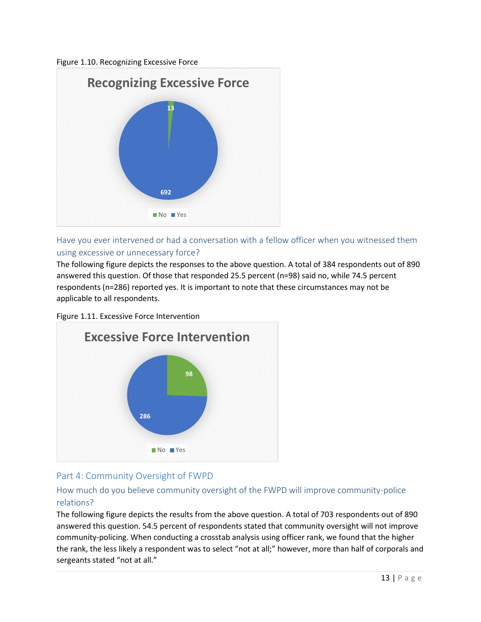Figure 1.10. Recognizing Excessive Force



Have you ever intervened or had a conversation with a fellow officer when you witnessed them using excessive or unnecessary force?

The following figure depicts the responses to the above question. A total of 384 respondents out of 890 answered this question. Of those that responded 25.5 percent (n=98) said no, while 74.5 percent respondents (n=286) reported yes. It is important to note that these circumstances may not be applicable to all respondents.

<span id="page-18-1"></span>



### <span id="page-18-0"></span>Part 4: Community Oversight of FWPD

### How much do you believe community oversight of the FWPD will improve community-police relations?

The following figure depicts the results from the above question. A total of 703 respondents out of 890 answered this question. 54.5 percent of respondents stated that community oversight will not improve community-policing. When conducting a crosstab analysis using officer rank, we found that the higher the rank, the less likely a respondent was to select "not at all;" however, more than half of corporals and sergeants stated "not at all."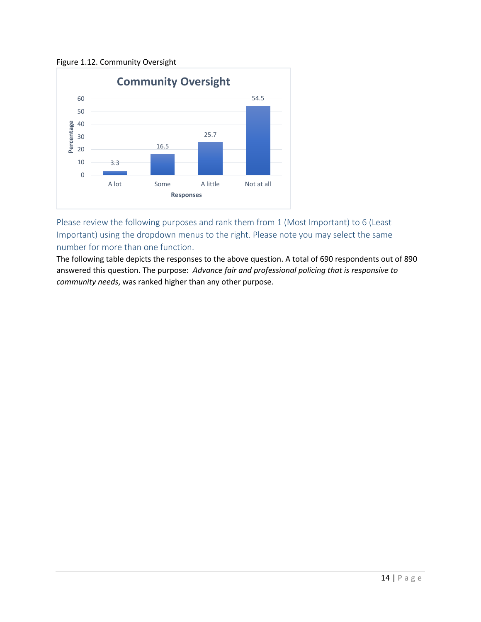<span id="page-19-0"></span>Figure 1.12. Community Oversight



Please review the following purposes and rank them from 1 (Most Important) to 6 (Least Important) using the dropdown menus to the right. Please note you may select the same number for more than one function.

<span id="page-19-1"></span>The following table depicts the responses to the above question. A total of 690 respondents out of 890 answered this question. The purpose: *Advance fair and professional policing that is responsive to community needs*, was ranked higher than any other purpose.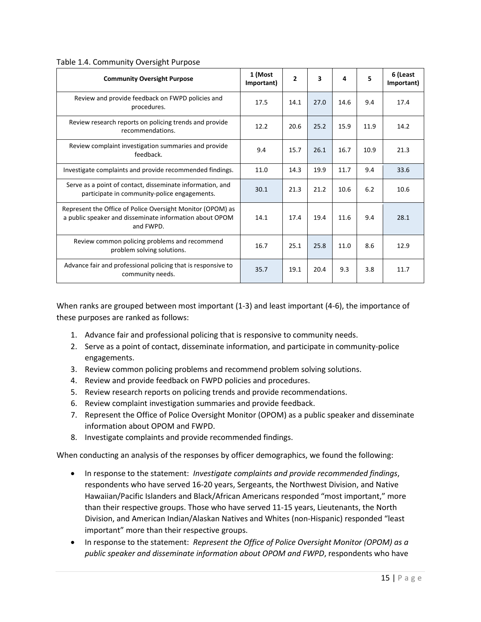| <b>Community Oversight Purpose</b>                                                                                                 | 1 (Most<br>Important) | $\overline{2}$ | 3    | 4    | 5    | 6 (Least<br>Important) |
|------------------------------------------------------------------------------------------------------------------------------------|-----------------------|----------------|------|------|------|------------------------|
| Review and provide feedback on FWPD policies and<br>procedures.                                                                    | 17.5                  | 14.1           | 27.0 | 14.6 | 9.4  | 17.4                   |
| Review research reports on policing trends and provide<br>recommendations.                                                         | 12.2                  | 20.6           | 25.2 | 15.9 | 11.9 | 14.2                   |
| Review complaint investigation summaries and provide<br>feedback.                                                                  | 9.4                   | 15.7           | 26.1 | 16.7 | 10.9 | 21.3                   |
| Investigate complaints and provide recommended findings.                                                                           | 11.0                  | 14.3           | 19.9 | 11.7 | 9.4  | 33.6                   |
| Serve as a point of contact, disseminate information, and<br>participate in community-police engagements.                          | 30.1                  | 21.3           | 21.2 | 10.6 | 6.2  | 10.6                   |
| Represent the Office of Police Oversight Monitor (OPOM) as<br>a public speaker and disseminate information about OPOM<br>and FWPD. | 14.1                  | 17.4           | 19.4 | 11.6 | 9.4  | 28.1                   |
| Review common policing problems and recommend<br>problem solving solutions.                                                        | 16.7                  | 25.1           | 25.8 | 11.0 | 8.6  | 12.9                   |
| Advance fair and professional policing that is responsive to<br>community needs.                                                   | 35.7                  | 19.1           | 20.4 | 9.3  | 3.8  | 11.7                   |

When ranks are grouped between most important (1-3) and least important (4-6), the importance of these purposes are ranked as follows:

- 1. Advance fair and professional policing that is responsive to community needs.
- 2. Serve as a point of contact, disseminate information, and participate in community-police engagements.
- 3. Review common policing problems and recommend problem solving solutions.
- 4. Review and provide feedback on FWPD policies and procedures.
- 5. Review research reports on policing trends and provide recommendations.
- 6. Review complaint investigation summaries and provide feedback.
- 7. Represent the Office of Police Oversight Monitor (OPOM) as a public speaker and disseminate information about OPOM and FWPD.
- 8. Investigate complaints and provide recommended findings.

When conducting an analysis of the responses by officer demographics, we found the following:

- In response to the statement: *Investigate complaints and provide recommended findings*, respondents who have served 16-20 years, Sergeants, the Northwest Division, and Native Hawaiian/Pacific Islanders and Black/African Americans responded "most important," more than their respective groups. Those who have served 11-15 years, Lieutenants, the North Division, and American Indian/Alaskan Natives and Whites (non-Hispanic) responded "least important" more than their respective groups.
- In response to the statement: *Represent the Office of Police Oversight Monitor (OPOM) as a public speaker and disseminate information about OPOM and FWPD*, respondents who have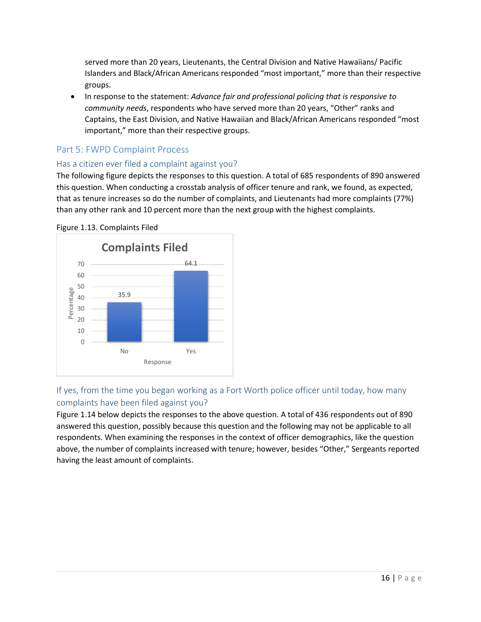served more than 20 years, Lieutenants, the Central Division and Native Hawaiians/ Pacific Islanders and Black/African Americans responded "most important," more than their respective groups.

• In response to the statement: *Advance fair and professional policing that is responsive to community needs*, respondents who have served more than 20 years, "Other" ranks and Captains, the East Division, and Native Hawaiian and Black/African Americans responded "most important," more than their respective groups.

### <span id="page-21-0"></span>Part 5: FWPD Complaint Process

#### Has a citizen ever filed a complaint against you?

The following figure depicts the responses to this question. A total of 685 respondents of 890 answered this question. When conducting a crosstab analysis of officer tenure and rank, we found, as expected, that as tenure increases so do the number of complaints, and Lieutenants had more complaints (77%) than any other rank and 10 percent more than the next group with the highest complaints.



<span id="page-21-1"></span>

### If yes, from the time you began working as a Fort Worth police officer until today, how many complaints have been filed against you?

<span id="page-21-2"></span>Figure 1.14 below depicts the responses to the above question. A total of 436 respondents out of 890 answered this question, possibly because this question and the following may not be applicable to all respondents. When examining the responses in the context of officer demographics, like the question above, the number of complaints increased with tenure; however, besides "Other," Sergeants reported having the least amount of complaints.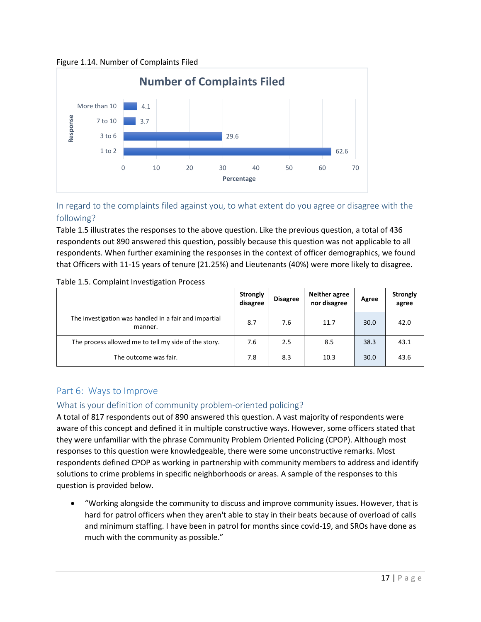



In regard to the complaints filed against you, to what extent do you agree or disagree with the following?

Table 1.5 illustrates the responses to the above question. Like the previous question, a total of 436 respondents out 890 answered this question, possibly because this question was not applicable to all respondents. When further examining the responses in the context of officer demographics, we found that Officers with 11-15 years of tenure (21.25%) and Lieutenants (40%) were more likely to disagree.

<span id="page-22-1"></span>

|  | Table 1.5. Complaint Investigation Process |  |
|--|--------------------------------------------|--|
|  |                                            |  |

|                                                                  | Strongly<br>disagree | <b>Disagree</b> | Neither agree<br>nor disagree | Agree | <b>Strongly</b><br>agree |
|------------------------------------------------------------------|----------------------|-----------------|-------------------------------|-------|--------------------------|
| The investigation was handled in a fair and impartial<br>manner. | 8.7                  | 7.6             | 11.7                          | 30.0  | 42.0                     |
| The process allowed me to tell my side of the story.             | 7.6                  | 2.5             | 8.5                           | 38.3  | 43.1                     |
| The outcome was fair.                                            | 7.8                  | 8.3             | 10.3                          | 30.0  | 43.6                     |

### <span id="page-22-0"></span>Part 6: Ways to Improve

### What is your definition of community problem-oriented policing?

A total of 817 respondents out of 890 answered this question. A vast majority of respondents were aware of this concept and defined it in multiple constructive ways. However, some officers stated that they were unfamiliar with the phrase Community Problem Oriented Policing (CPOP). Although most responses to this question were knowledgeable, there were some unconstructive remarks. Most respondents defined CPOP as working in partnership with community members to address and identify solutions to crime problems in specific neighborhoods or areas. A sample of the responses to this question is provided below.

• "Working alongside the community to discuss and improve community issues. However, that is hard for patrol officers when they aren't able to stay in their beats because of overload of calls and minimum staffing. I have been in patrol for months since covid-19, and SROs have done as much with the community as possible."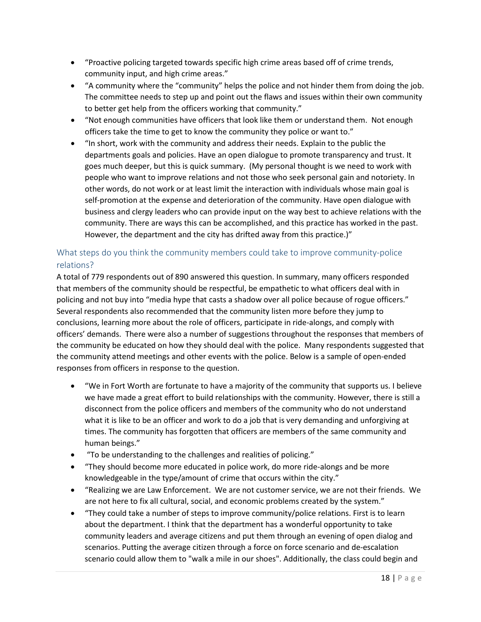- "Proactive policing targeted towards specific high crime areas based off of crime trends, community input, and high crime areas."
- "A community where the "community" helps the police and not hinder them from doing the job. The committee needs to step up and point out the flaws and issues within their own community to better get help from the officers working that community."
- "Not enough communities have officers that look like them or understand them. Not enough officers take the time to get to know the community they police or want to."
- "In short, work with the community and address their needs. Explain to the public the departments goals and policies. Have an open dialogue to promote transparency and trust. It goes much deeper, but this is quick summary. (My personal thought is we need to work with people who want to improve relations and not those who seek personal gain and notoriety. In other words, do not work or at least limit the interaction with individuals whose main goal is self-promotion at the expense and deterioration of the community. Have open dialogue with business and clergy leaders who can provide input on the way best to achieve relations with the community. There are ways this can be accomplished, and this practice has worked in the past. However, the department and the city has drifted away from this practice.)"

### What steps do you think the community members could take to improve community-police relations?

A total of 779 respondents out of 890 answered this question. In summary, many officers responded that members of the community should be respectful, be empathetic to what officers deal with in policing and not buy into "media hype that casts a shadow over all police because of rogue officers." Several respondents also recommended that the community listen more before they jump to conclusions, learning more about the role of officers, participate in ride-alongs, and comply with officers' demands. There were also a number of suggestions throughout the responses that members of the community be educated on how they should deal with the police. Many respondents suggested that the community attend meetings and other events with the police. Below is a sample of open-ended responses from officers in response to the question.

- "We in Fort Worth are fortunate to have a majority of the community that supports us. I believe we have made a great effort to build relationships with the community. However, there is still a disconnect from the police officers and members of the community who do not understand what it is like to be an officer and work to do a job that is very demanding and unforgiving at times. The community has forgotten that officers are members of the same community and human beings."
- "To be understanding to the challenges and realities of policing."
- "They should become more educated in police work, do more ride-alongs and be more knowledgeable in the type/amount of crime that occurs within the city."
- "Realizing we are Law Enforcement. We are not customer service, we are not their friends. We are not here to fix all cultural, social, and economic problems created by the system."
- "They could take a number of steps to improve community/police relations. First is to learn about the department. I think that the department has a wonderful opportunity to take community leaders and average citizens and put them through an evening of open dialog and scenarios. Putting the average citizen through a force on force scenario and de-escalation scenario could allow them to "walk a mile in our shoes". Additionally, the class could begin and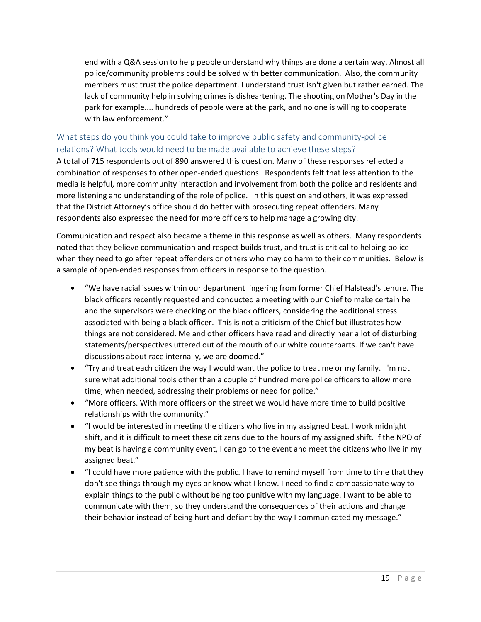end with a Q&A session to help people understand why things are done a certain way. Almost all police/community problems could be solved with better communication. Also, the community members must trust the police department. I understand trust isn't given but rather earned. The lack of community help in solving crimes is disheartening. The shooting on Mother's Day in the park for example.... hundreds of people were at the park, and no one is willing to cooperate with law enforcement."

### What steps do you think you could take to improve public safety and community-police relations? What tools would need to be made available to achieve these steps?

A total of 715 respondents out of 890 answered this question. Many of these responses reflected a combination of responses to other open-ended questions. Respondents felt that less attention to the media is helpful, more community interaction and involvement from both the police and residents and more listening and understanding of the role of police. In this question and others, it was expressed that the District Attorney's office should do better with prosecuting repeat offenders. Many respondents also expressed the need for more officers to help manage a growing city.

Communication and respect also became a theme in this response as well as others. Many respondents noted that they believe communication and respect builds trust, and trust is critical to helping police when they need to go after repeat offenders or others who may do harm to their communities. Below is a sample of open-ended responses from officers in response to the question.

- "We have racial issues within our department lingering from former Chief Halstead's tenure. The black officers recently requested and conducted a meeting with our Chief to make certain he and the supervisors were checking on the black officers, considering the additional stress associated with being a black officer. This is not a criticism of the Chief but illustrates how things are not considered. Me and other officers have read and directly hear a lot of disturbing statements/perspectives uttered out of the mouth of our white counterparts. If we can't have discussions about race internally, we are doomed."
- "Try and treat each citizen the way I would want the police to treat me or my family. I'm not sure what additional tools other than a couple of hundred more police officers to allow more time, when needed, addressing their problems or need for police."
- "More officers. With more officers on the street we would have more time to build positive relationships with the community."
- "I would be interested in meeting the citizens who live in my assigned beat. I work midnight shift, and it is difficult to meet these citizens due to the hours of my assigned shift. If the NPO of my beat is having a community event, I can go to the event and meet the citizens who live in my assigned beat."
- "I could have more patience with the public. I have to remind myself from time to time that they don't see things through my eyes or know what I know. I need to find a compassionate way to explain things to the public without being too punitive with my language. I want to be able to communicate with them, so they understand the consequences of their actions and change their behavior instead of being hurt and defiant by the way I communicated my message."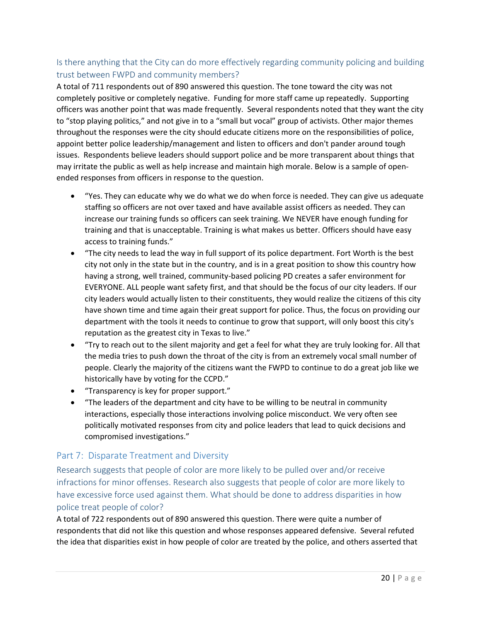### Is there anything that the City can do more effectively regarding community policing and building trust between FWPD and community members?

A total of 711 respondents out of 890 answered this question. The tone toward the city was not completely positive or completely negative. Funding for more staff came up repeatedly. Supporting officers was another point that was made frequently. Several respondents noted that they want the city to "stop playing politics," and not give in to a "small but vocal" group of activists. Other major themes throughout the responses were the city should educate citizens more on the responsibilities of police, appoint better police leadership/management and listen to officers and don't pander around tough issues. Respondents believe leaders should support police and be more transparent about things that may irritate the public as well as help increase and maintain high morale. Below is a sample of openended responses from officers in response to the question.

- "Yes. They can educate why we do what we do when force is needed. They can give us adequate staffing so officers are not over taxed and have available assist officers as needed. They can increase our training funds so officers can seek training. We NEVER have enough funding for training and that is unacceptable. Training is what makes us better. Officers should have easy access to training funds."
- "The city needs to lead the way in full support of its police department. Fort Worth is the best city not only in the state but in the country, and is in a great position to show this country how having a strong, well trained, community-based policing PD creates a safer environment for EVERYONE. ALL people want safety first, and that should be the focus of our city leaders. If our city leaders would actually listen to their constituents, they would realize the citizens of this city have shown time and time again their great support for police. Thus, the focus on providing our department with the tools it needs to continue to grow that support, will only boost this city's reputation as the greatest city in Texas to live."
- "Try to reach out to the silent majority and get a feel for what they are truly looking for. All that the media tries to push down the throat of the city is from an extremely vocal small number of people. Clearly the majority of the citizens want the FWPD to continue to do a great job like we historically have by voting for the CCPD."
- "Transparency is key for proper support."
- "The leaders of the department and city have to be willing to be neutral in community interactions, especially those interactions involving police misconduct. We very often see politically motivated responses from city and police leaders that lead to quick decisions and compromised investigations."

### <span id="page-25-0"></span>Part 7: Disparate Treatment and Diversity

Research suggests that people of color are more likely to be pulled over and/or receive infractions for minor offenses. Research also suggests that people of color are more likely to have excessive force used against them. What should be done to address disparities in how police treat people of color?

A total of 722 respondents out of 890 answered this question. There were quite a number of respondents that did not like this question and whose responses appeared defensive. Several refuted the idea that disparities exist in how people of color are treated by the police, and others asserted that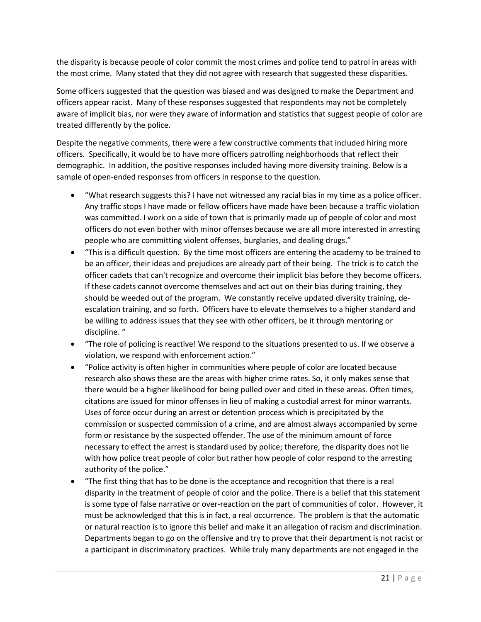the disparity is because people of color commit the most crimes and police tend to patrol in areas with the most crime. Many stated that they did not agree with research that suggested these disparities.

Some officers suggested that the question was biased and was designed to make the Department and officers appear racist. Many of these responses suggested that respondents may not be completely aware of implicit bias, nor were they aware of information and statistics that suggest people of color are treated differently by the police.

Despite the negative comments, there were a few constructive comments that included hiring more officers. Specifically, it would be to have more officers patrolling neighborhoods that reflect their demographic. In addition, the positive responses included having more diversity training. Below is a sample of open-ended responses from officers in response to the question.

- "What research suggests this? I have not witnessed any racial bias in my time as a police officer. Any traffic stops I have made or fellow officers have made have been because a traffic violation was committed. I work on a side of town that is primarily made up of people of color and most officers do not even bother with minor offenses because we are all more interested in arresting people who are committing violent offenses, burglaries, and dealing drugs."
- "This is a difficult question. By the time most officers are entering the academy to be trained to be an officer, their ideas and prejudices are already part of their being. The trick is to catch the officer cadets that can't recognize and overcome their implicit bias before they become officers. If these cadets cannot overcome themselves and act out on their bias during training, they should be weeded out of the program. We constantly receive updated diversity training, deescalation training, and so forth. Officers have to elevate themselves to a higher standard and be willing to address issues that they see with other officers, be it through mentoring or discipline. "
- "The role of policing is reactive! We respond to the situations presented to us. If we observe a violation, we respond with enforcement action."
- "Police activity is often higher in communities where people of color are located because research also shows these are the areas with higher crime rates. So, it only makes sense that there would be a higher likelihood for being pulled over and cited in these areas. Often times, citations are issued for minor offenses in lieu of making a custodial arrest for minor warrants. Uses of force occur during an arrest or detention process which is precipitated by the commission or suspected commission of a crime, and are almost always accompanied by some form or resistance by the suspected offender. The use of the minimum amount of force necessary to effect the arrest is standard used by police; therefore, the disparity does not lie with how police treat people of color but rather how people of color respond to the arresting authority of the police."
- "The first thing that has to be done is the acceptance and recognition that there is a real disparity in the treatment of people of color and the police. There is a belief that this statement is some type of false narrative or over-reaction on the part of communities of color. However, it must be acknowledged that this is in fact, a real occurrence. The problem is that the automatic or natural reaction is to ignore this belief and make it an allegation of racism and discrimination. Departments began to go on the offensive and try to prove that their department is not racist or a participant in discriminatory practices. While truly many departments are not engaged in the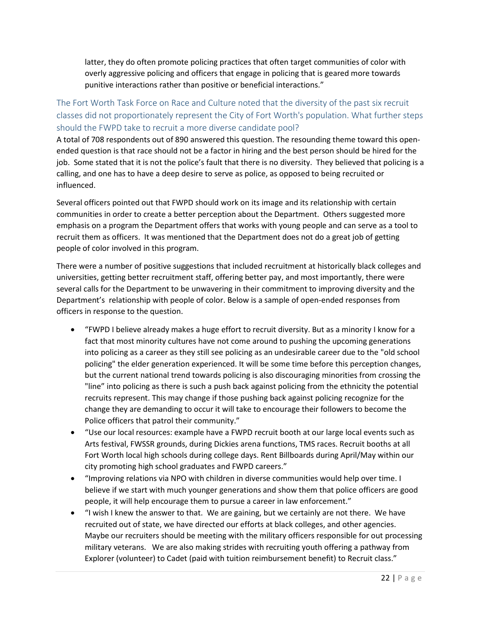latter, they do often promote policing practices that often target communities of color with overly aggressive policing and officers that engage in policing that is geared more towards punitive interactions rather than positive or beneficial interactions."

### The Fort Worth Task Force on Race and Culture noted that the diversity of the past six recruit classes did not proportionately represent the City of Fort Worth's population. What further steps should the FWPD take to recruit a more diverse candidate pool?

A total of 708 respondents out of 890 answered this question. The resounding theme toward this openended question is that race should not be a factor in hiring and the best person should be hired for the job. Some stated that it is not the police's fault that there is no diversity. They believed that policing is a calling, and one has to have a deep desire to serve as police, as opposed to being recruited or influenced.

Several officers pointed out that FWPD should work on its image and its relationship with certain communities in order to create a better perception about the Department. Others suggested more emphasis on a program the Department offers that works with young people and can serve as a tool to recruit them as officers. It was mentioned that the Department does not do a great job of getting people of color involved in this program.

There were a number of positive suggestions that included recruitment at historically black colleges and universities, getting better recruitment staff, offering better pay, and most importantly, there were several calls for the Department to be unwavering in their commitment to improving diversity and the Department's relationship with people of color. Below is a sample of open-ended responses from officers in response to the question.

- "FWPD I believe already makes a huge effort to recruit diversity. But as a minority I know for a fact that most minority cultures have not come around to pushing the upcoming generations into policing as a career as they still see policing as an undesirable career due to the "old school policing" the elder generation experienced. It will be some time before this perception changes, but the current national trend towards policing is also discouraging minorities from crossing the "line" into policing as there is such a push back against policing from the ethnicity the potential recruits represent. This may change if those pushing back against policing recognize for the change they are demanding to occur it will take to encourage their followers to become the Police officers that patrol their community."
- "Use our local resources: example have a FWPD recruit booth at our large local events such as Arts festival, FWSSR grounds, during Dickies arena functions, TMS races. Recruit booths at all Fort Worth local high schools during college days. Rent Billboards during April/May within our city promoting high school graduates and FWPD careers."
- "Improving relations via NPO with children in diverse communities would help over time. I believe if we start with much younger generations and show them that police officers are good people, it will help encourage them to pursue a career in law enforcement."
- "I wish I knew the answer to that. We are gaining, but we certainly are not there. We have recruited out of state, we have directed our efforts at black colleges, and other agencies. Maybe our recruiters should be meeting with the military officers responsible for out processing military veterans. We are also making strides with recruiting youth offering a pathway from Explorer (volunteer) to Cadet (paid with tuition reimbursement benefit) to Recruit class."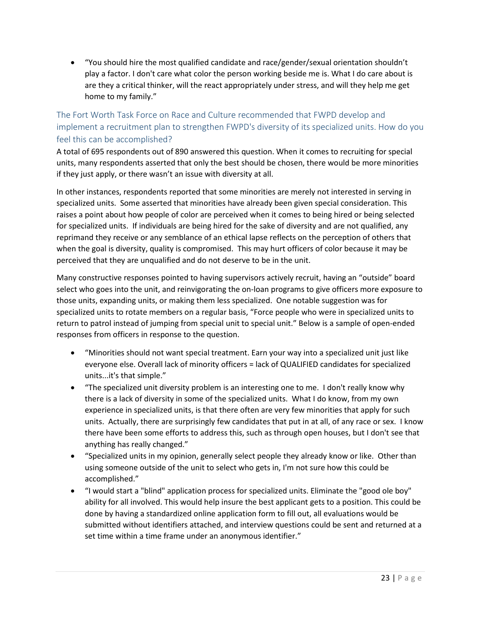• "You should hire the most qualified candidate and race/gender/sexual orientation shouldn't play a factor. I don't care what color the person working beside me is. What I do care about is are they a critical thinker, will the react appropriately under stress, and will they help me get home to my family."

### The Fort Worth Task Force on Race and Culture recommended that FWPD develop and implement a recruitment plan to strengthen FWPD's diversity of its specialized units. How do you feel this can be accomplished?

A total of 695 respondents out of 890 answered this question. When it comes to recruiting for special units, many respondents asserted that only the best should be chosen, there would be more minorities if they just apply, or there wasn't an issue with diversity at all.

In other instances, respondents reported that some minorities are merely not interested in serving in specialized units. Some asserted that minorities have already been given special consideration. This raises a point about how people of color are perceived when it comes to being hired or being selected for specialized units. If individuals are being hired for the sake of diversity and are not qualified, any reprimand they receive or any semblance of an ethical lapse reflects on the perception of others that when the goal is diversity, quality is compromised. This may hurt officers of color because it may be perceived that they are unqualified and do not deserve to be in the unit.

Many constructive responses pointed to having supervisors actively recruit, having an "outside" board select who goes into the unit, and reinvigorating the on-loan programs to give officers more exposure to those units, expanding units, or making them less specialized. One notable suggestion was for specialized units to rotate members on a regular basis, "Force people who were in specialized units to return to patrol instead of jumping from special unit to special unit." Below is a sample of open-ended responses from officers in response to the question.

- "Minorities should not want special treatment. Earn your way into a specialized unit just like everyone else. Overall lack of minority officers = lack of QUALIFIED candidates for specialized units...it's that simple."
- "The specialized unit diversity problem is an interesting one to me. I don't really know why there is a lack of diversity in some of the specialized units. What I do know, from my own experience in specialized units, is that there often are very few minorities that apply for such units. Actually, there are surprisingly few candidates that put in at all, of any race or sex. I know there have been some efforts to address this, such as through open houses, but I don't see that anything has really changed."
- "Specialized units in my opinion, generally select people they already know or like. Other than using someone outside of the unit to select who gets in, I'm not sure how this could be accomplished."
- "I would start a "blind" application process for specialized units. Eliminate the "good ole boy" ability for all involved. This would help insure the best applicant gets to a position. This could be done by having a standardized online application form to fill out, all evaluations would be submitted without identifiers attached, and interview questions could be sent and returned at a set time within a time frame under an anonymous identifier."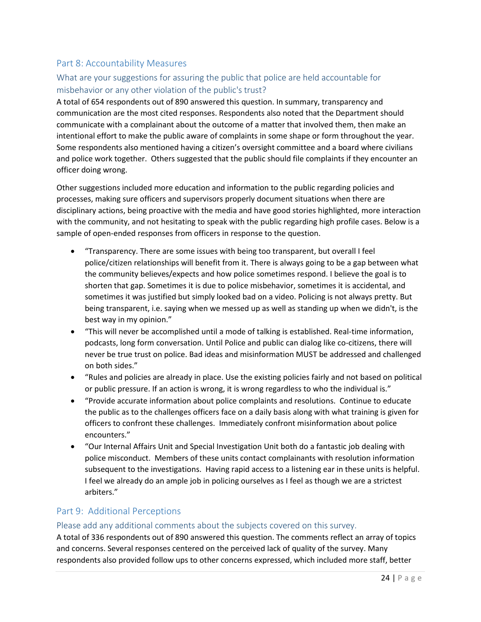#### <span id="page-29-0"></span>Part 8: Accountability Measures

### What are your suggestions for assuring the public that police are held accountable for misbehavior or any other violation of the public's trust?

A total of 654 respondents out of 890 answered this question. In summary, transparency and communication are the most cited responses. Respondents also noted that the Department should communicate with a complainant about the outcome of a matter that involved them, then make an intentional effort to make the public aware of complaints in some shape or form throughout the year. Some respondents also mentioned having a citizen's oversight committee and a board where civilians and police work together. Others suggested that the public should file complaints if they encounter an officer doing wrong.

Other suggestions included more education and information to the public regarding policies and processes, making sure officers and supervisors properly document situations when there are disciplinary actions, being proactive with the media and have good stories highlighted, more interaction with the community, and not hesitating to speak with the public regarding high profile cases. Below is a sample of open-ended responses from officers in response to the question.

- "Transparency. There are some issues with being too transparent, but overall I feel police/citizen relationships will benefit from it. There is always going to be a gap between what the community believes/expects and how police sometimes respond. I believe the goal is to shorten that gap. Sometimes it is due to police misbehavior, sometimes it is accidental, and sometimes it was justified but simply looked bad on a video. Policing is not always pretty. But being transparent, i.e. saying when we messed up as well as standing up when we didn't, is the best way in my opinion."
- "This will never be accomplished until a mode of talking is established. Real-time information, podcasts, long form conversation. Until Police and public can dialog like co-citizens, there will never be true trust on police. Bad ideas and misinformation MUST be addressed and challenged on both sides."
- "Rules and policies are already in place. Use the existing policies fairly and not based on political or public pressure. If an action is wrong, it is wrong regardless to who the individual is."
- "Provide accurate information about police complaints and resolutions. Continue to educate the public as to the challenges officers face on a daily basis along with what training is given for officers to confront these challenges. Immediately confront misinformation about police encounters."
- "Our Internal Affairs Unit and Special Investigation Unit both do a fantastic job dealing with police misconduct. Members of these units contact complainants with resolution information subsequent to the investigations. Having rapid access to a listening ear in these units is helpful. I feel we already do an ample job in policing ourselves as I feel as though we are a strictest arbiters."

### <span id="page-29-1"></span>Part 9: Additional Perceptions

### Please add any additional comments about the subjects covered on this survey.

A total of 336 respondents out of 890 answered this question. The comments reflect an array of topics and concerns. Several responses centered on the perceived lack of quality of the survey. Many respondents also provided follow ups to other concerns expressed, which included more staff, better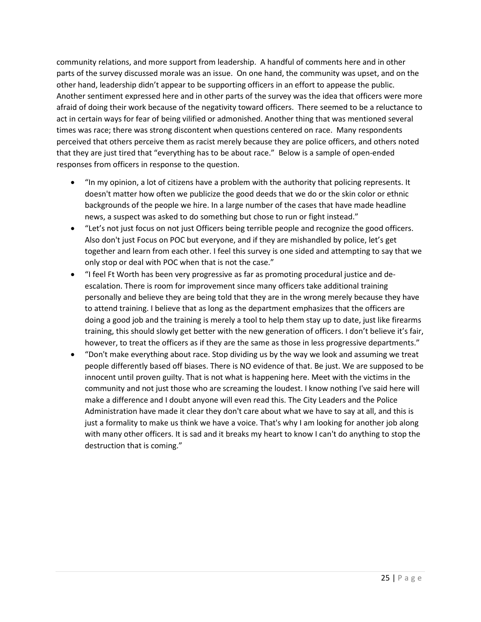community relations, and more support from leadership. A handful of comments here and in other parts of the survey discussed morale was an issue. On one hand, the community was upset, and on the other hand, leadership didn't appear to be supporting officers in an effort to appease the public. Another sentiment expressed here and in other parts of the survey was the idea that officers were more afraid of doing their work because of the negativity toward officers. There seemed to be a reluctance to act in certain ways for fear of being vilified or admonished. Another thing that was mentioned several times was race; there was strong discontent when questions centered on race. Many respondents perceived that others perceive them as racist merely because they are police officers, and others noted that they are just tired that "everything has to be about race." Below is a sample of open-ended responses from officers in response to the question.

- "In my opinion, a lot of citizens have a problem with the authority that policing represents. It doesn't matter how often we publicize the good deeds that we do or the skin color or ethnic backgrounds of the people we hire. In a large number of the cases that have made headline news, a suspect was asked to do something but chose to run or fight instead."
- "Let's not just focus on not just Officers being terrible people and recognize the good officers. Also don't just Focus on POC but everyone, and if they are mishandled by police, let's get together and learn from each other. I feel this survey is one sided and attempting to say that we only stop or deal with POC when that is not the case."
- "I feel Ft Worth has been very progressive as far as promoting procedural justice and deescalation. There is room for improvement since many officers take additional training personally and believe they are being told that they are in the wrong merely because they have to attend training. I believe that as long as the department emphasizes that the officers are doing a good job and the training is merely a tool to help them stay up to date, just like firearms training, this should slowly get better with the new generation of officers. I don't believe it's fair, however, to treat the officers as if they are the same as those in less progressive departments."
- "Don't make everything about race. Stop dividing us by the way we look and assuming we treat people differently based off biases. There is NO evidence of that. Be just. We are supposed to be innocent until proven guilty. That is not what is happening here. Meet with the victims in the community and not just those who are screaming the loudest. I know nothing I've said here will make a difference and I doubt anyone will even read this. The City Leaders and the Police Administration have made it clear they don't care about what we have to say at all, and this is just a formality to make us think we have a voice. That's why I am looking for another job along with many other officers. It is sad and it breaks my heart to know I can't do anything to stop the destruction that is coming."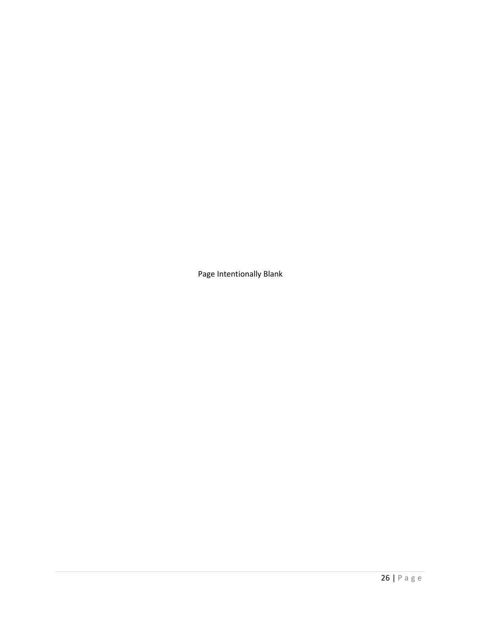Page Intentionally Blank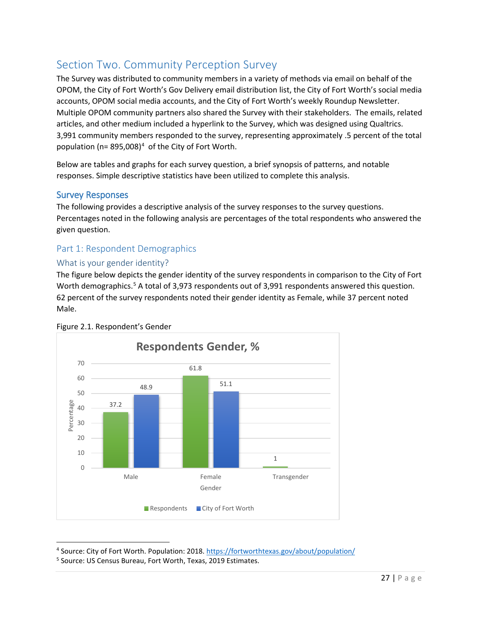# <span id="page-32-0"></span>Section Two. Community Perception Survey

The Survey was distributed to community members in a variety of methods via email on behalf of the OPOM, the City of Fort Worth's Gov Delivery email distribution list, the City of Fort Worth's social media accounts, OPOM social media accounts, and the City of Fort Worth's weekly Roundup Newsletter. Multiple OPOM community partners also shared the Survey with their stakeholders. The emails, related articles, and other medium included a hyperlink to the Survey, which was designed using Qualtrics. 3,991 community members responded to the survey, representing approximately .5 percent of the total population ( $n= 895,008$ )<sup>[4](#page-32-4)</sup> of the City of Fort Worth.

Below are tables and graphs for each survey question, a brief synopsis of patterns, and notable responses. Simple descriptive statistics have been utilized to complete this analysis.

#### <span id="page-32-1"></span>Survey Responses

The following provides a descriptive analysis of the survey responses to the survey questions. Percentages noted in the following analysis are percentages of the total respondents who answered the given question.

### <span id="page-32-2"></span>Part 1: Respondent Demographics

#### What is your gender identity?

The figure below depicts the gender identity of the survey respondents in comparison to the City of Fort Worth demographics.<sup>[5](#page-32-5)</sup> A total of 3,973 respondents out of 3,991 respondents answered this question. 62 percent of the survey respondents noted their gender identity as Female, while 37 percent noted Male.



<span id="page-32-3"></span>Figure 2.1. Respondent's Gender

<span id="page-32-4"></span> <sup>4</sup> Source: City of Fort Worth. Population: 2018.<https://fortworthtexas.gov/about/population/>

<span id="page-32-5"></span><sup>5</sup> Source: US Census Bureau, Fort Worth, Texas, 2019 Estimates.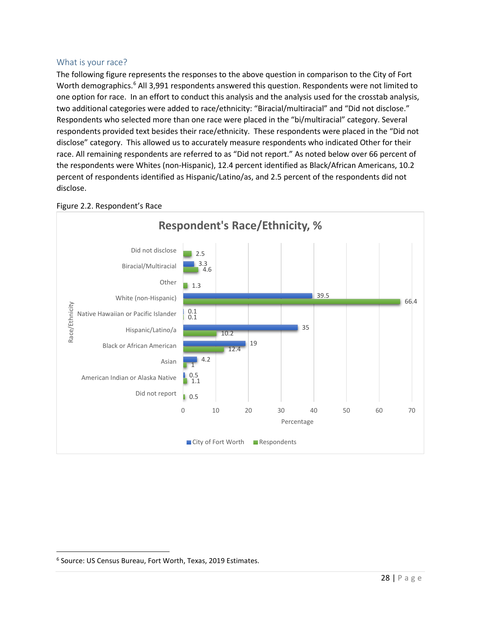#### What is your race?

The following figure represents the responses to the above question in comparison to the City of Fort Worth demographics.<sup>[6](#page-33-1)</sup> All 3,991 respondents answered this question. Respondents were not limited to one option for race. In an effort to conduct this analysis and the analysis used for the crosstab analysis, two additional categories were added to race/ethnicity: "Biracial/multiracial" and "Did not disclose." Respondents who selected more than one race were placed in the "bi/multiracial" category. Several respondents provided text besides their race/ethnicity. These respondents were placed in the "Did not disclose" category. This allowed us to accurately measure respondents who indicated Other for their race. All remaining respondents are referred to as "Did not report." As noted below over 66 percent of the respondents were Whites (non-Hispanic), 12.4 percent identified as Black/African Americans, 10.2 percent of respondents identified as Hispanic/Latino/as, and 2.5 percent of the respondents did not disclose.



#### <span id="page-33-0"></span>Figure 2.2. Respondent's Race

<span id="page-33-1"></span> <sup>6</sup> Source: US Census Bureau, Fort Worth, Texas, 2019 Estimates.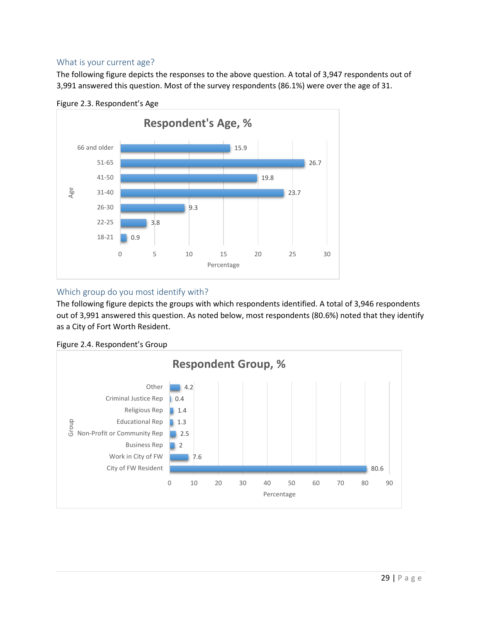#### What is your current age?

The following figure depicts the responses to the above question. A total of 3,947 respondents out of 3,991 answered this question. Most of the survey respondents (86.1%) were over the age of 31.



Figure 2.3. Respondent's Age

### Which group do you most identify with?

The following figure depicts the groups with which respondents identified. A total of 3,946 respondents out of 3,991 answered this question. As noted below, most respondents (80.6%) noted that they identify as a City of Fort Worth Resident.

<span id="page-34-0"></span>

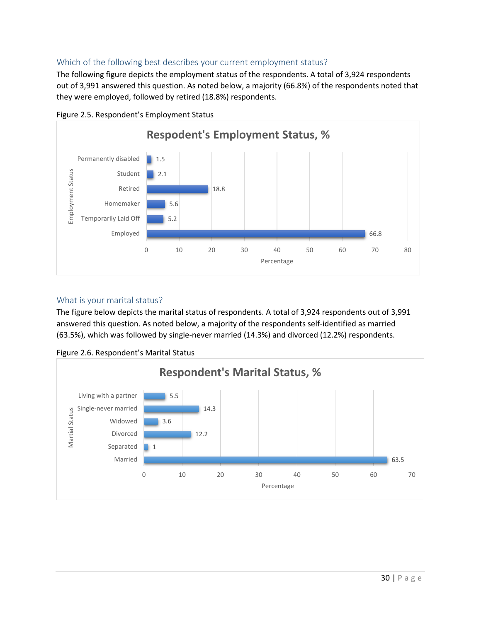### Which of the following best describes your current employment status?

The following figure depicts the employment status of the respondents. A total of 3,924 respondents out of 3,991 answered this question. As noted below, a majority (66.8%) of the respondents noted that they were employed, followed by retired (18.8%) respondents.



<span id="page-35-0"></span>Figure 2.5. Respondent's Employment Status

### What is your marital status?

The figure below depicts the marital status of respondents. A total of 3,924 respondents out of 3,991 answered this question. As noted below, a majority of the respondents self-identified as married (63.5%), which was followed by single-never married (14.3%) and divorced (12.2%) respondents.

<span id="page-35-1"></span>

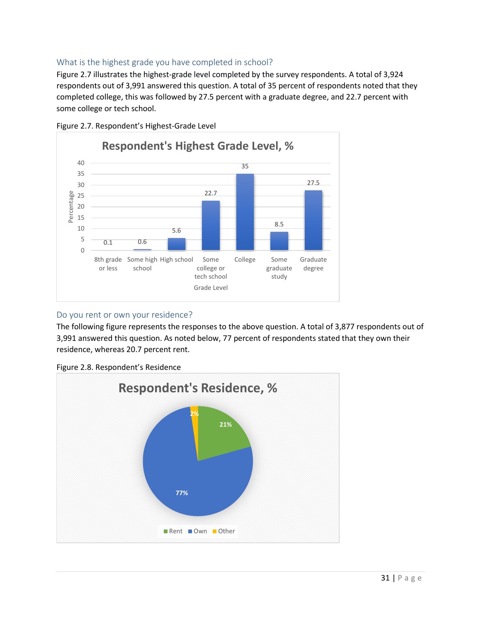### What is the highest grade you have completed in school?

Figure 2.7 illustrates the highest-grade level completed by the survey respondents. A total of 3,924 respondents out of 3,991 answered this question. A total of 35 percent of respondents noted that they completed college, this was followed by 27.5 percent with a graduate degree, and 22.7 percent with some college or tech school.



<span id="page-36-0"></span>Figure 2.7. Respondent's Highest-Grade Level

#### Do you rent or own your residence?

The following figure represents the responses to the above question. A total of 3,877 respondents out of 3,991 answered this question. As noted below, 77 percent of respondents stated that they own their residence, whereas 20.7 percent rent.

<span id="page-36-1"></span>

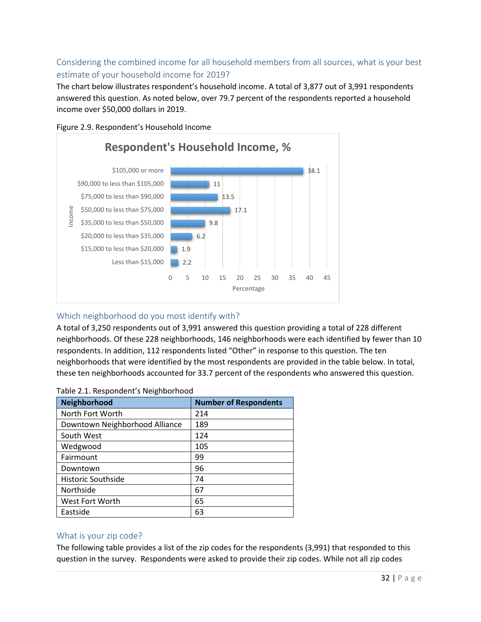### Considering the combined income for all household members from all sources, what is your best estimate of your household income for 2019?

The chart below illustrates respondent's household income. A total of 3,877 out of 3,991 respondents answered this question. As noted below, over 79.7 percent of the respondents reported a household income over \$50,000 dollars in 2019.



<span id="page-37-0"></span>

### Which neighborhood do you most identify with?

A total of 3,250 respondents out of 3,991 answered this question providing a total of 228 different neighborhoods. Of these 228 neighborhoods, 146 neighborhoods were each identified by fewer than 10 respondents. In addition, 112 respondents listed "Other" in response to this question. The ten neighborhoods that were identified by the most respondents are provided in the table below. In total, these ten neighborhoods accounted for 33.7 percent of the respondents who answered this question.

#### <span id="page-37-1"></span>Table 2.1. Respondent's Neighborhood

| <b>Neighborhood</b>            | <b>Number of Respondents</b> |
|--------------------------------|------------------------------|
| North Fort Worth               | 214                          |
| Downtown Neighborhood Alliance | 189                          |
| South West                     | 124                          |
| Wedgwood                       | 105                          |
| Fairmount                      | 99                           |
| Downtown                       | 96                           |
| <b>Historic Southside</b>      | 74                           |
| Northside                      | 67                           |
| West Fort Worth                | 65                           |
| Eastside                       | 63                           |

#### What is your zip code?

The following table provides a list of the zip codes for the respondents (3,991) that responded to this question in the survey. Respondents were asked to provide their zip codes. While not all zip codes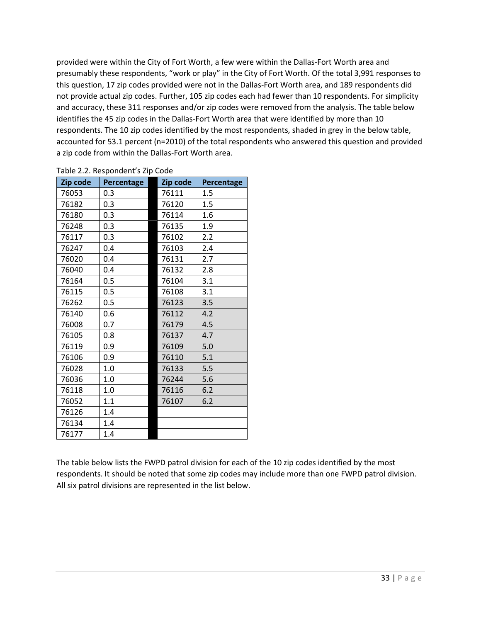provided were within the City of Fort Worth, a few were within the Dallas-Fort Worth area and presumably these respondents, "work or play" in the City of Fort Worth. Of the total 3,991 responses to this question, 17 zip codes provided were not in the Dallas-Fort Worth area, and 189 respondents did not provide actual zip codes. Further, 105 zip codes each had fewer than 10 respondents. For simplicity and accuracy, these 311 responses and/or zip codes were removed from the analysis. The table below identifies the 45 zip codes in the Dallas-Fort Worth area that were identified by more than 10 respondents. The 10 zip codes identified by the most respondents, shaded in grey in the below table, accounted for 53.1 percent (n=2010) of the total respondents who answered this question and provided a zip code from within the Dallas-Fort Worth area.

| Zip code | <b>Percentage</b> | Zip code | <b>Percentage</b> |
|----------|-------------------|----------|-------------------|
| 76053    | 0.3               | 76111    | 1.5               |
| 76182    | 0.3               | 76120    | 1.5               |
| 76180    | 0.3               | 76114    | 1.6               |
| 76248    | 0.3               | 76135    | 1.9               |
| 76117    | 0.3               | 76102    | 2.2               |
| 76247    | 0.4               | 76103    | 2.4               |
| 76020    | 0.4               | 76131    | 2.7               |
| 76040    | 0.4               | 76132    | 2.8               |
| 76164    | 0.5               | 76104    | 3.1               |
| 76115    | 0.5               | 76108    | 3.1               |
| 76262    | 0.5               | 76123    | 3.5               |
| 76140    | 0.6               | 76112    | 4.2               |
| 76008    | 0.7               | 76179    | 4.5               |
| 76105    | 0.8               | 76137    | 4.7               |
| 76119    | 0.9               | 76109    | 5.0               |
| 76106    | 0.9               | 76110    | 5.1               |
| 76028    | 1.0               | 76133    | 5.5               |
| 76036    | 1.0               | 76244    | 5.6               |
| 76118    | 1.0               | 76116    | 6.2               |
| 76052    | 1.1               | 76107    | 6.2               |
| 76126    | 1.4               |          |                   |
| 76134    | 1.4               |          |                   |
| 76177    | 1.4               |          |                   |

<span id="page-38-0"></span>Table 2.2. Respondent's Zip Code

<span id="page-38-1"></span>The table below lists the FWPD patrol division for each of the 10 zip codes identified by the most respondents. It should be noted that some zip codes may include more than one FWPD patrol division. All six patrol divisions are represented in the list below.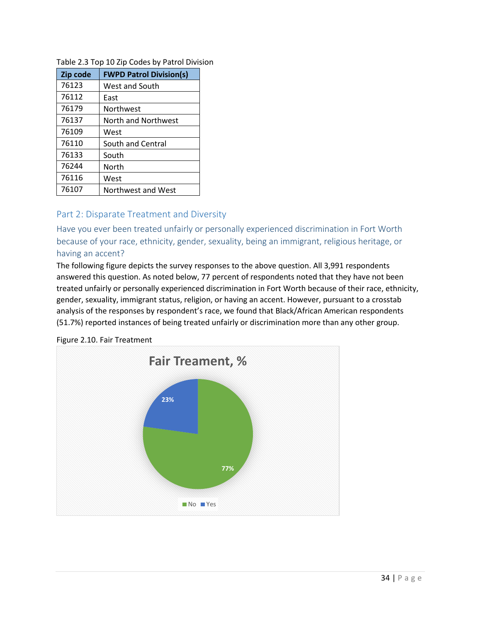| Zip code | <b>FWPD Patrol Division(s)</b> |
|----------|--------------------------------|
| 76123    | West and South                 |
| 76112    | East                           |
| 76179    | Northwest                      |
| 76137    | North and Northwest            |
| 76109    | West                           |
| 76110    | South and Central              |
| 76133    | South                          |
| 76244    | North                          |
| 76116    | West                           |
| 76107    | Northwest and West             |

#### Table 2.3 Top 10 Zip Codes by Patrol Division

### <span id="page-39-0"></span>Part 2: Disparate Treatment and Diversity

Have you ever been treated unfairly or personally experienced discrimination in Fort Worth because of your race, ethnicity, gender, sexuality, being an immigrant, religious heritage, or having an accent?

The following figure depicts the survey responses to the above question. All 3,991 respondents answered this question. As noted below, 77 percent of respondents noted that they have not been treated unfairly or personally experienced discrimination in Fort Worth because of their race, ethnicity, gender, sexuality, immigrant status, religion, or having an accent. However, pursuant to a crosstab analysis of the responses by respondent's race, we found that Black/African American respondents (51.7%) reported instances of being treated unfairly or discrimination more than any other group.



<span id="page-39-1"></span>Figure 2.10. Fair Treatment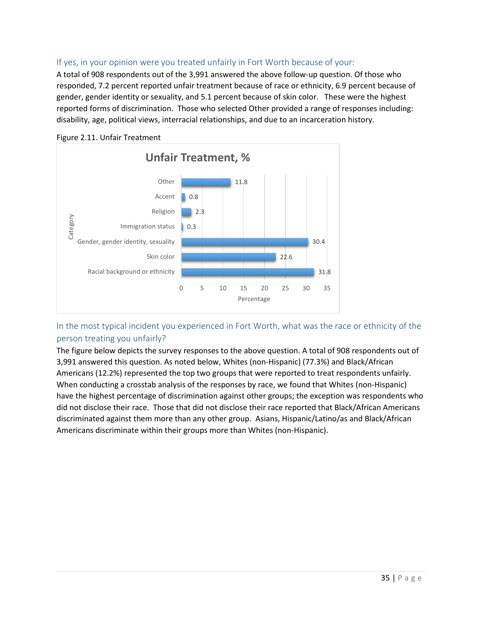If yes, in your opinion were you treated unfairly in Fort Worth because of your:

A total of 908 respondents out of the 3,991 answered the above follow-up question. Of those who responded, 7.2 percent reported unfair treatment because of race or ethnicity, 6.9 percent because of gender, gender identity or sexuality, and 5.1 percent because of skin color. These were the highest reported forms of discrimination. Those who selected Other provided a range of responses including: disability, age, political views, interracial relationships, and due to an incarceration history.



<span id="page-40-0"></span>

### In the most typical incident you experienced in Fort Worth, what was the race or ethnicity of the person treating you unfairly?

<span id="page-40-1"></span>The figure below depicts the survey responses to the above question. A total of 908 respondents out of 3,991 answered this question. As noted below, Whites (non-Hispanic) (77.3%) and Black/African Americans (12.2%) represented the top two groups that were reported to treat respondents unfairly. When conducting a crosstab analysis of the responses by race, we found that Whites (non-Hispanic) have the highest percentage of discrimination against other groups; the exception was respondents who did not disclose their race. Those that did not disclose their race reported that Black/African Americans discriminated against them more than any other group. Asians, Hispanic/Latino/as and Black/African Americans discriminate within their groups more than Whites (non-Hispanic).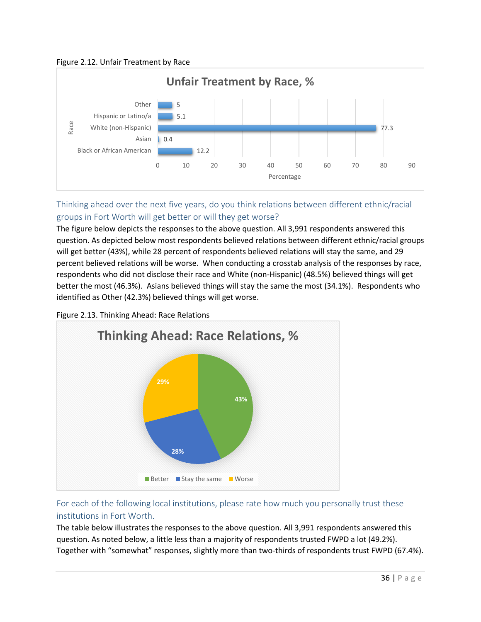



### Thinking ahead over the next five years, do you think relations between different ethnic/racial groups in Fort Worth will get better or will they get worse?

The figure below depicts the responses to the above question. All 3,991 respondents answered this question. As depicted below most respondents believed relations between different ethnic/racial groups will get better (43%), while 28 percent of respondents believed relations will stay the same, and 29 percent believed relations will be worse. When conducting a crosstab analysis of the responses by race, respondents who did not disclose their race and White (non-Hispanic) (48.5%) believed things will get better the most (46.3%). Asians believed things will stay the same the most (34.1%). Respondents who identified as Other (42.3%) believed things will get worse.

<span id="page-41-0"></span>Figure 2.13. Thinking Ahead: Race Relations



### For each of the following local institutions, please rate how much you personally trust these institutions in Fort Worth.

The table below illustrates the responses to the above question. All 3,991 respondents answered this question. As noted below, a little less than a majority of respondents trusted FWPD a lot (49.2%). Together with "somewhat" responses, slightly more than two-thirds of respondents trust FWPD (67.4%).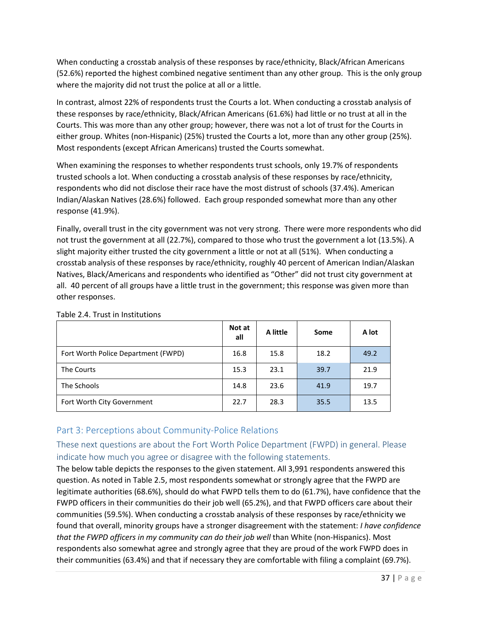When conducting a crosstab analysis of these responses by race/ethnicity, Black/African Americans (52.6%) reported the highest combined negative sentiment than any other group. This is the only group where the majority did not trust the police at all or a little.

In contrast, almost 22% of respondents trust the Courts a lot. When conducting a crosstab analysis of these responses by race/ethnicity, Black/African Americans (61.6%) had little or no trust at all in the Courts. This was more than any other group; however, there was not a lot of trust for the Courts in either group. Whites (non-Hispanic) (25%) trusted the Courts a lot, more than any other group (25%). Most respondents (except African Americans) trusted the Courts somewhat.

When examining the responses to whether respondents trust schools, only 19.7% of respondents trusted schools a lot. When conducting a crosstab analysis of these responses by race/ethnicity, respondents who did not disclose their race have the most distrust of schools (37.4%). American Indian/Alaskan Natives (28.6%) followed. Each group responded somewhat more than any other response (41.9%).

Finally, overall trust in the city government was not very strong. There were more respondents who did not trust the government at all (22.7%), compared to those who trust the government a lot (13.5%). A slight majority either trusted the city government a little or not at all (51%). When conducting a crosstab analysis of these responses by race/ethnicity, roughly 40 percent of American Indian/Alaskan Natives, Black/Americans and respondents who identified as "Other" did not trust city government at all. 40 percent of all groups have a little trust in the government; this response was given more than other responses.

|                                     | Not at<br>all | A little | Some | A lot |
|-------------------------------------|---------------|----------|------|-------|
| Fort Worth Police Department (FWPD) | 16.8          | 15.8     | 18.2 | 49.2  |
| The Courts                          | 15.3          | 23.1     | 39.7 | 21.9  |
| The Schools                         | 14.8          | 23.6     | 41.9 | 19.7  |
| Fort Worth City Government          | 22.7          | 28.3     | 35.5 | 13.5  |

<span id="page-42-1"></span>Table 2.4. Trust in Institutions

### <span id="page-42-0"></span>Part 3: Perceptions about Community-Police Relations

### These next questions are about the Fort Worth Police Department (FWPD) in general. Please indicate how much you agree or disagree with the following statements.

The below table depicts the responses to the given statement. All 3,991 respondents answered this question. As noted in Table 2.5, most respondents somewhat or strongly agree that the FWPD are legitimate authorities (68.6%), should do what FWPD tells them to do (61.7%), have confidence that the FWPD officers in their communities do their job well (65.2%), and that FWPD officers care about their communities (59.5%). When conducting a crosstab analysis of these responses by race/ethnicity we found that overall, minority groups have a stronger disagreement with the statement: *I have confidence that the FWPD officers in my community can do their job well* than White (non-Hispanics). Most respondents also somewhat agree and strongly agree that they are proud of the work FWPD does in their communities (63.4%) and that if necessary they are comfortable with filing a complaint (69.7%).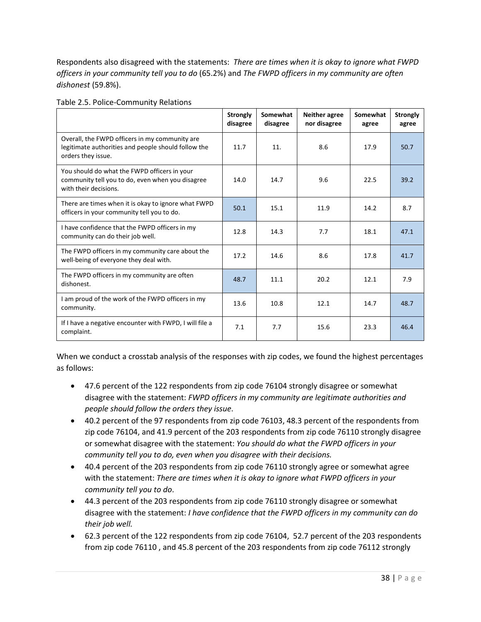Respondents also disagreed with the statements: *There are times when it is okay to ignore what FWPD officers in your community tell you to do* (65.2%) and *The FWPD officers in my community are often dishonest* (59.8%).

|                                                                                                                             | <b>Strongly</b><br>disagree | Somewhat<br>disagree | <b>Neither agree</b><br>nor disagree | Somewhat<br>agree | <b>Strongly</b><br>agree |
|-----------------------------------------------------------------------------------------------------------------------------|-----------------------------|----------------------|--------------------------------------|-------------------|--------------------------|
| Overall, the FWPD officers in my community are<br>legitimate authorities and people should follow the<br>orders they issue. | 11.7                        | 11.                  | 8.6                                  | 17.9              | 50.7                     |
| You should do what the FWPD officers in your<br>community tell you to do, even when you disagree<br>with their decisions.   | 14.0                        | 14.7                 | 9.6                                  | 22.5              | 39.2                     |
| There are times when it is okay to ignore what FWPD<br>officers in your community tell you to do.                           | 50.1                        | 15.1                 | 11.9                                 | 14.2              | 8.7                      |
| I have confidence that the FWPD officers in my<br>community can do their job well.                                          | 12.8                        | 14.3                 | 7.7                                  | 18.1              | 47.1                     |
| The FWPD officers in my community care about the<br>well-being of everyone they deal with.                                  | 17.2                        | 14.6                 | 8.6                                  | 17.8              | 41.7                     |
| The FWPD officers in my community are often<br>dishonest.                                                                   | 48.7                        | 11.1                 | 20.2                                 | 12.1              | 7.9                      |
| I am proud of the work of the FWPD officers in my<br>community.                                                             | 13.6                        | 10.8                 | 12.1                                 | 14.7              | 48.7                     |
| If I have a negative encounter with FWPD, I will file a<br>complaint.                                                       | 7.1                         | 7.7                  | 15.6                                 | 23.3              | 46.4                     |

<span id="page-43-0"></span>Table 2.5. Police-Community Relations

When we conduct a crosstab analysis of the responses with zip codes, we found the highest percentages as follows:

- 47.6 percent of the 122 respondents from zip code 76104 strongly disagree or somewhat disagree with the statement: *FWPD officers in my community are legitimate authorities and people should follow the orders they issue*.
- 40.2 percent of the 97 respondents from zip code 76103, 48.3 percent of the respondents from zip code 76104, and 41.9 percent of the 203 respondents from zip code 76110 strongly disagree or somewhat disagree with the statement: *You should do what the FWPD officers in your community tell you to do, even when you disagree with their decisions.*
- 40.4 percent of the 203 respondents from zip code 76110 strongly agree or somewhat agree with the statement: *There are times when it is okay to ignore what FWPD officers in your community tell you to do*.
- 44.3 percent of the 203 respondents from zip code 76110 strongly disagree or somewhat disagree with the statement: *I have confidence that the FWPD officers in my community can do their job well.*
- 62.3 percent of the 122 respondents from zip code 76104, 52.7 percent of the 203 respondents from zip code 76110 , and 45.8 percent of the 203 respondents from zip code 76112 strongly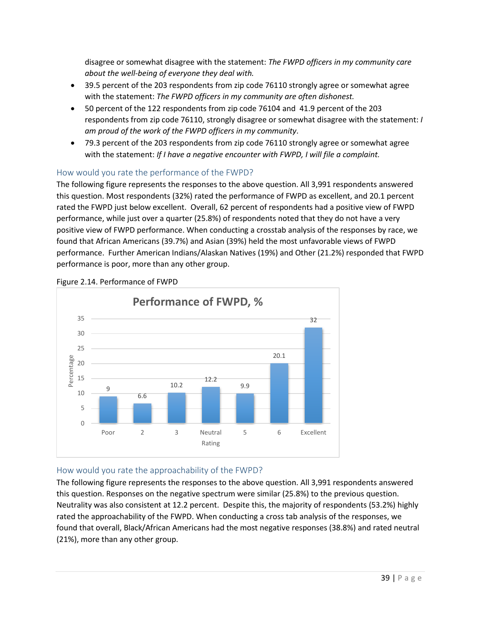disagree or somewhat disagree with the statement: *The FWPD officers in my community care about the well-being of everyone they deal with.* 

- 39.5 percent of the 203 respondents from zip code 76110 strongly agree or somewhat agree with the statement: *The FWPD officers in my community are often dishonest.*
- 50 percent of the 122 respondents from zip code 76104 and 41.9 percent of the 203 respondents from zip code 76110, strongly disagree or somewhat disagree with the statement: *I am proud of the work of the FWPD officers in my community*.
- 79.3 percent of the 203 respondents from zip code 76110 strongly agree or somewhat agree with the statement: *If I have a negative encounter with FWPD, I will file a complaint.*

### How would you rate the performance of the FWPD?

The following figure represents the responses to the above question. All 3,991 respondents answered this question. Most respondents (32%) rated the performance of FWPD as excellent, and 20.1 percent rated the FWPD just below excellent. Overall, 62 percent of respondents had a positive view of FWPD performance, while just over a quarter (25.8%) of respondents noted that they do not have a very positive view of FWPD performance. When conducting a crosstab analysis of the responses by race, we found that African Americans (39.7%) and Asian (39%) held the most unfavorable views of FWPD performance. Further American Indians/Alaskan Natives (19%) and Other (21.2%) responded that FWPD performance is poor, more than any other group.



#### <span id="page-44-0"></span>Figure 2.14. Performance of FWPD

### How would you rate the approachability of the FWPD?

<span id="page-44-1"></span>The following figure represents the responses to the above question. All 3,991 respondents answered this question. Responses on the negative spectrum were similar (25.8%) to the previous question. Neutrality was also consistent at 12.2 percent. Despite this, the majority of respondents (53.2%) highly rated the approachability of the FWPD. When conducting a cross tab analysis of the responses, we found that overall, Black/African Americans had the most negative responses (38.8%) and rated neutral (21%), more than any other group.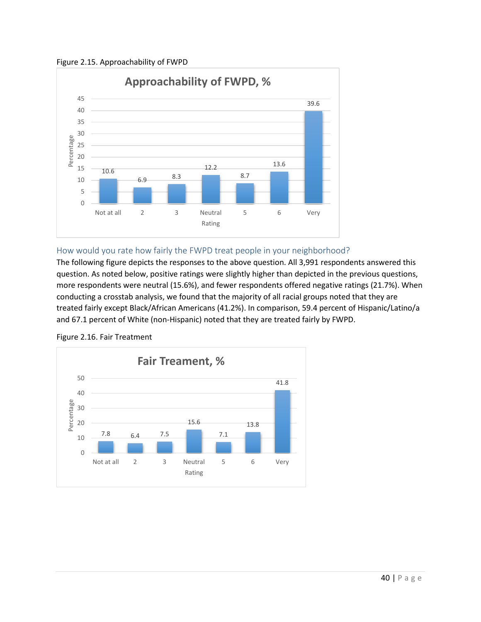

Figure 2.15. Approachability of FWPD

#### How would you rate how fairly the FWPD treat people in your neighborhood?

The following figure depicts the responses to the above question. All 3,991 respondents answered this question. As noted below, positive ratings were slightly higher than depicted in the previous questions, more respondents were neutral (15.6%), and fewer respondents offered negative ratings (21.7%). When conducting a crosstab analysis, we found that the majority of all racial groups noted that they are treated fairly except Black/African Americans (41.2%). In comparison, 59.4 percent of Hispanic/Latino/a and 67.1 percent of White (non-Hispanic) noted that they are treated fairly by FWPD.

<span id="page-45-0"></span>

<span id="page-45-1"></span>Figure 2.16. Fair Treatment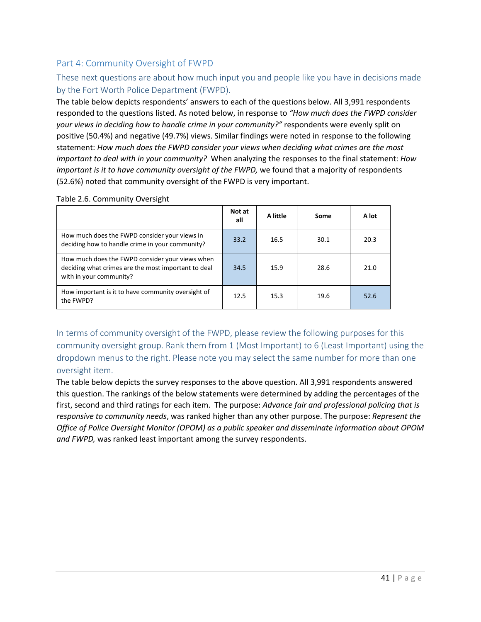### Part 4: Community Oversight of FWPD

### These next questions are about how much input you and people like you have in decisions made by the Fort Worth Police Department (FWPD).

The table below depicts respondents' answers to each of the questions below. All 3,991 respondents responded to the questions listed. As noted below, in response to *"How much does the FWPD consider your views in deciding how to handle crime in your community?"* respondents were evenly split on positive (50.4%) and negative (49.7%) views. Similar findings were noted in response to the following statement: *How much does the FWPD consider your views when deciding what crimes are the most important to deal with in your community?* When analyzing the responses to the final statement: *How important is it to have community oversight of the FWPD,* we found that a majority of respondents (52.6%) noted that community oversight of the FWPD is very important.

|                                                                                                                                   | Not at<br>all | A little | Some | A lot |
|-----------------------------------------------------------------------------------------------------------------------------------|---------------|----------|------|-------|
| How much does the FWPD consider your views in<br>deciding how to handle crime in your community?                                  | 33.2          | 16.5     | 30.1 | 20.3  |
| How much does the FWPD consider your views when<br>deciding what crimes are the most important to deal<br>with in your community? | 34.5          | 15.9     | 28.6 | 21.0  |
| How important is it to have community oversight of<br>the FWPD?                                                                   | 12.5          | 15.3     | 19.6 | 52.6  |

#### <span id="page-46-0"></span>Table 2.6. Community Oversight

In terms of community oversight of the FWPD, please review the following purposes for this community oversight group. Rank them from 1 (Most Important) to 6 (Least Important) using the dropdown menus to the right. Please note you may select the same number for more than one oversight item.

<span id="page-46-1"></span>The table below depicts the survey responses to the above question. All 3,991 respondents answered this question. The rankings of the below statements were determined by adding the percentages of the first, second and third ratings for each item. The purpose: *Advance fair and professional policing that is responsive to community needs*, was ranked higher than any other purpose. The purpose: *Represent the Office of Police Oversight Monitor (OPOM) as a public speaker and disseminate information about OPOM and FWPD,* was ranked least important among the survey respondents.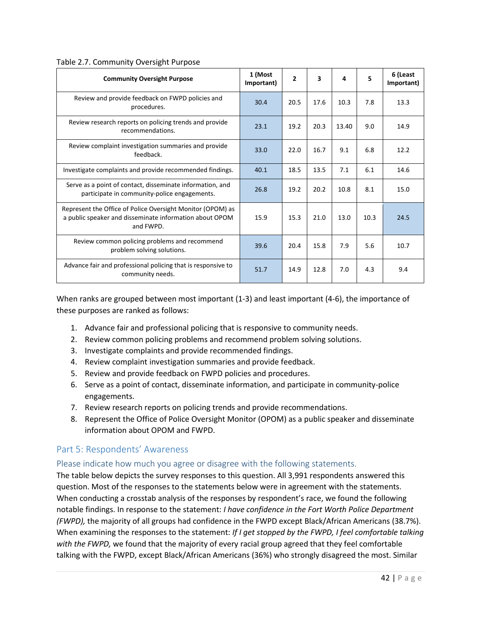| <b>Community Oversight Purpose</b>                                                                                                 | 1 (Most<br>Important) | $\overline{2}$ | 3    | 4     | 5    | 6 (Least<br>Important) |
|------------------------------------------------------------------------------------------------------------------------------------|-----------------------|----------------|------|-------|------|------------------------|
| Review and provide feedback on FWPD policies and<br>procedures.                                                                    | 30.4                  | 20.5           | 17.6 | 10.3  | 7.8  | 13.3                   |
| Review research reports on policing trends and provide<br>recommendations.                                                         | 23.1                  | 19.2           | 20.3 | 13.40 | 9.0  | 14.9                   |
| Review complaint investigation summaries and provide<br>feedback.                                                                  | 33.0                  | 22.0           | 16.7 | 9.1   | 6.8  | 12.2                   |
| Investigate complaints and provide recommended findings.                                                                           | 40.1                  | 18.5           | 13.5 | 7.1   | 6.1  | 14.6                   |
| Serve as a point of contact, disseminate information, and<br>participate in community-police engagements.                          | 26.8                  | 19.2           | 20.2 | 10.8  | 8.1  | 15.0                   |
| Represent the Office of Police Oversight Monitor (OPOM) as<br>a public speaker and disseminate information about OPOM<br>and FWPD. | 15.9                  | 15.3           | 21.0 | 13.0  | 10.3 | 24.5                   |
| Review common policing problems and recommend<br>problem solving solutions.                                                        | 39.6                  | 20.4           | 15.8 | 7.9   | 5.6  | 10.7                   |
| Advance fair and professional policing that is responsive to<br>community needs.                                                   | 51.7                  | 14.9           | 12.8 | 7.0   | 4.3  | 9.4                    |

When ranks are grouped between most important (1-3) and least important (4-6), the importance of these purposes are ranked as follows:

- 1. Advance fair and professional policing that is responsive to community needs.
- 2. Review common policing problems and recommend problem solving solutions.
- 3. Investigate complaints and provide recommended findings.
- 4. Review complaint investigation summaries and provide feedback.
- 5. Review and provide feedback on FWPD policies and procedures.
- 6. Serve as a point of contact, disseminate information, and participate in community-police engagements.
- 7. Review research reports on policing trends and provide recommendations.
- 8. Represent the Office of Police Oversight Monitor (OPOM) as a public speaker and disseminate information about OPOM and FWPD.

### <span id="page-47-0"></span>Part 5: Respondents' Awareness

#### Please indicate how much you agree or disagree with the following statements.

The table below depicts the survey responses to this question. All 3,991 respondents answered this question. Most of the responses to the statements below were in agreement with the statements. When conducting a crosstab analysis of the responses by respondent's race, we found the following notable findings. In response to the statement: *I have confidence in the Fort Worth Police Department (FWPD),* the majority of all groups had confidence in the FWPD except Black/African Americans (38.7%). When examining the responses to the statement: *If I get stopped by the FWPD, I feel comfortable talking with the FWPD,* we found that the majority of every racial group agreed that they feel comfortable talking with the FWPD, except Black/African Americans (36%) who strongly disagreed the most. Similar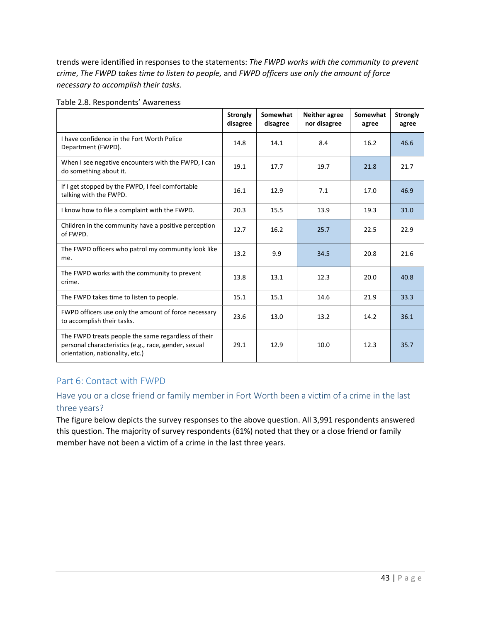trends were identified in responses to the statements: *The FWPD works with the community to prevent crime*, *The FWPD takes time to listen to people,* and *FWPD officers use only the amount of force necessary to accomplish their tasks.*

|                                                                                                                                                | <b>Strongly</b><br>disagree | Somewhat<br>disagree | <b>Neither agree</b><br>nor disagree | Somewhat<br>agree | <b>Strongly</b><br>agree |
|------------------------------------------------------------------------------------------------------------------------------------------------|-----------------------------|----------------------|--------------------------------------|-------------------|--------------------------|
| I have confidence in the Fort Worth Police<br>Department (FWPD).                                                                               | 14.8                        | 14.1                 | 8.4                                  | 16.2              | 46.6                     |
| When I see negative encounters with the FWPD, I can<br>do something about it.                                                                  | 19.1                        | 17.7                 | 19.7                                 | 21.8              | 21.7                     |
| If I get stopped by the FWPD, I feel comfortable<br>talking with the FWPD.                                                                     | 16.1                        | 12.9                 | 7.1                                  | 17.0              | 46.9                     |
| I know how to file a complaint with the FWPD.                                                                                                  | 20.3                        | 15.5                 | 13.9                                 | 19.3              | 31.0                     |
| Children in the community have a positive perception<br>of FWPD.                                                                               | 12.7                        | 16.2                 | 25.7                                 | 22.5              | 22.9                     |
| The FWPD officers who patrol my community look like<br>me.                                                                                     | 13.2                        | 9.9                  | 34.5                                 | 20.8              | 21.6                     |
| The FWPD works with the community to prevent<br>crime.                                                                                         | 13.8                        | 13.1                 | 12.3                                 | 20.0              | 40.8                     |
| The FWPD takes time to listen to people.                                                                                                       | 15.1                        | 15.1                 | 14.6                                 | 21.9              | 33.3                     |
| FWPD officers use only the amount of force necessary<br>to accomplish their tasks.                                                             | 23.6                        | 13.0                 | 13.2                                 | 14.2              | 36.1                     |
| The FWPD treats people the same regardless of their<br>personal characteristics (e.g., race, gender, sexual<br>orientation, nationality, etc.) | 29.1                        | 12.9                 | 10.0                                 | 12.3              | 35.7                     |

#### <span id="page-48-1"></span>Table 2.8. Respondents' Awareness

### <span id="page-48-0"></span>Part 6: Contact with FWPD

### Have you or a close friend or family member in Fort Worth been a victim of a crime in the last three years?

The figure below depicts the survey responses to the above question. All 3,991 respondents answered this question. The majority of survey respondents (61%) noted that they or a close friend or family member have not been a victim of a crime in the last three years.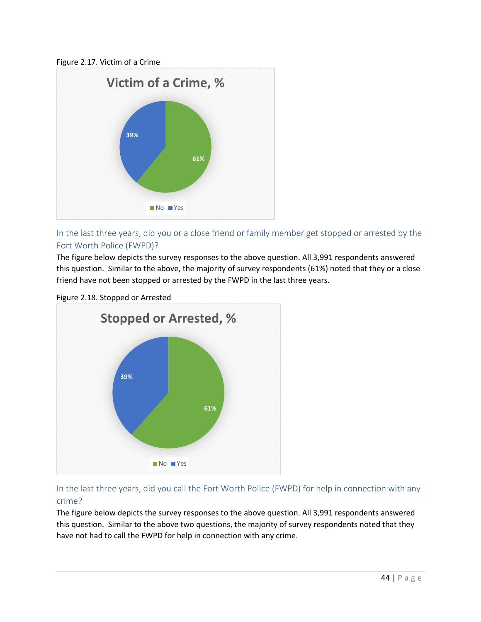<span id="page-49-0"></span>



In the last three years, did you or a close friend or family member get stopped or arrested by the Fort Worth Police (FWPD)?

The figure below depicts the survey responses to the above question. All 3,991 respondents answered this question. Similar to the above, the majority of survey respondents (61%) noted that they or a close friend have not been stopped or arrested by the FWPD in the last three years.

<span id="page-49-1"></span>



In the last three years, did you call the Fort Worth Police (FWPD) for help in connection with any crime?

The figure below depicts the survey responses to the above question. All 3,991 respondents answered this question. Similar to the above two questions, the majority of survey respondents noted that they have not had to call the FWPD for help in connection with any crime.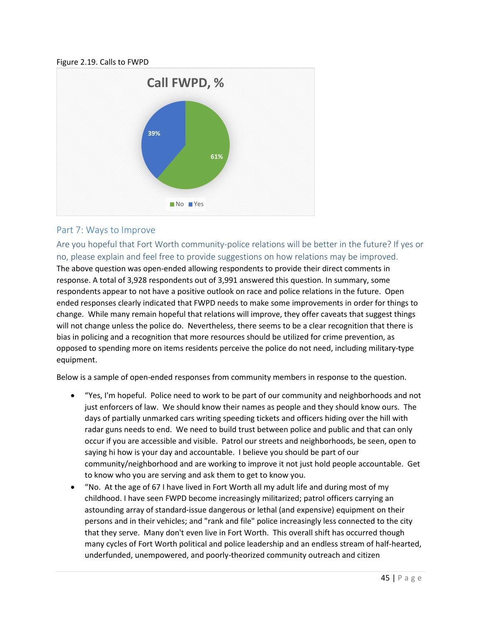#### <span id="page-50-1"></span>Figure 2.19. Calls to FWPD



#### <span id="page-50-0"></span>Part 7: Ways to Improve

Are you hopeful that Fort Worth community-police relations will be better in the future? If yes or no, please explain and feel free to provide suggestions on how relations may be improved. The above question was open-ended allowing respondents to provide their direct comments in response. A total of 3,928 respondents out of 3,991 answered this question. In summary, some respondents appear to not have a positive outlook on race and police relations in the future. Open ended responses clearly indicated that FWPD needs to make some improvements in order for things to change. While many remain hopeful that relations will improve, they offer caveats that suggest things will not change unless the police do. Nevertheless, there seems to be a clear recognition that there is bias in policing and a recognition that more resources should be utilized for crime prevention, as opposed to spending more on items residents perceive the police do not need, including military-type equipment.

Below is a sample of open-ended responses from community members in response to the question.

- "Yes, I'm hopeful. Police need to work to be part of our community and neighborhoods and not just enforcers of law. We should know their names as people and they should know ours. The days of partially unmarked cars writing speeding tickets and officers hiding over the hill with radar guns needs to end. We need to build trust between police and public and that can only occur if you are accessible and visible. Patrol our streets and neighborhoods, be seen, open to saying hi how is your day and accountable. I believe you should be part of our community/neighborhood and are working to improve it not just hold people accountable. Get to know who you are serving and ask them to get to know you.
- "No. At the age of 67 I have lived in Fort Worth all my adult life and during most of my childhood. I have seen FWPD become increasingly militarized; patrol officers carrying an astounding array of standard-issue dangerous or lethal (and expensive) equipment on their persons and in their vehicles; and "rank and file" police increasingly less connected to the city that they serve. Many don't even live in Fort Worth. This overall shift has occurred though many cycles of Fort Worth political and police leadership and an endless stream of half-hearted, underfunded, unempowered, and poorly-theorized community outreach and citizen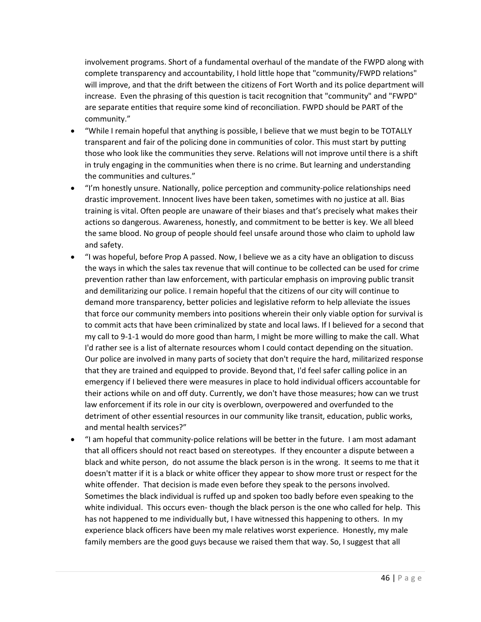involvement programs. Short of a fundamental overhaul of the mandate of the FWPD along with complete transparency and accountability, I hold little hope that "community/FWPD relations" will improve, and that the drift between the citizens of Fort Worth and its police department will increase. Even the phrasing of this question is tacit recognition that "community" and "FWPD" are separate entities that require some kind of reconciliation. FWPD should be PART of the community."

- "While I remain hopeful that anything is possible, I believe that we must begin to be TOTALLY transparent and fair of the policing done in communities of color. This must start by putting those who look like the communities they serve. Relations will not improve until there is a shift in truly engaging in the communities when there is no crime. But learning and understanding the communities and cultures."
- "I'm honestly unsure. Nationally, police perception and community-police relationships need drastic improvement. Innocent lives have been taken, sometimes with no justice at all. Bias training is vital. Often people are unaware of their biases and that's precisely what makes their actions so dangerous. Awareness, honestly, and commitment to be better is key. We all bleed the same blood. No group of people should feel unsafe around those who claim to uphold law and safety.
- "I was hopeful, before Prop A passed. Now, I believe we as a city have an obligation to discuss the ways in which the sales tax revenue that will continue to be collected can be used for crime prevention rather than law enforcement, with particular emphasis on improving public transit and demilitarizing our police. I remain hopeful that the citizens of our city will continue to demand more transparency, better policies and legislative reform to help alleviate the issues that force our community members into positions wherein their only viable option for survival is to commit acts that have been criminalized by state and local laws. If I believed for a second that my call to 9-1-1 would do more good than harm, I might be more willing to make the call. What I'd rather see is a list of alternate resources whom I could contact depending on the situation. Our police are involved in many parts of society that don't require the hard, militarized response that they are trained and equipped to provide. Beyond that, I'd feel safer calling police in an emergency if I believed there were measures in place to hold individual officers accountable for their actions while on and off duty. Currently, we don't have those measures; how can we trust law enforcement if its role in our city is overblown, overpowered and overfunded to the detriment of other essential resources in our community like transit, education, public works, and mental health services?"
- "I am hopeful that community-police relations will be better in the future. I am most adamant that all officers should not react based on stereotypes. If they encounter a dispute between a black and white person, do not assume the black person is in the wrong. It seems to me that it doesn't matter if it is a black or white officer they appear to show more trust or respect for the white offender. That decision is made even before they speak to the persons involved. Sometimes the black individual is ruffed up and spoken too badly before even speaking to the white individual. This occurs even- though the black person is the one who called for help. This has not happened to me individually but, I have witnessed this happening to others. In my experience black officers have been my male relatives worst experience. Honestly, my male family members are the good guys because we raised them that way. So, I suggest that all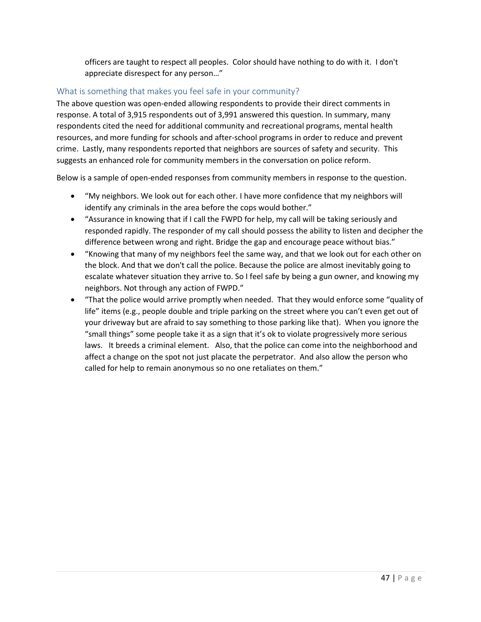officers are taught to respect all peoples. Color should have nothing to do with it. I don't appreciate disrespect for any person…"

#### What is something that makes you feel safe in your community?

The above question was open-ended allowing respondents to provide their direct comments in response. A total of 3,915 respondents out of 3,991 answered this question. In summary, many respondents cited the need for additional community and recreational programs, mental health resources, and more funding for schools and after-school programs in order to reduce and prevent crime. Lastly, many respondents reported that neighbors are sources of safety and security. This suggests an enhanced role for community members in the conversation on police reform.

Below is a sample of open-ended responses from community members in response to the question.

- "My neighbors. We look out for each other. I have more confidence that my neighbors will identify any criminals in the area before the cops would bother."
- "Assurance in knowing that if I call the FWPD for help, my call will be taking seriously and responded rapidly. The responder of my call should possess the ability to listen and decipher the difference between wrong and right. Bridge the gap and encourage peace without bias."
- "Knowing that many of my neighbors feel the same way, and that we look out for each other on the block. And that we don't call the police. Because the police are almost inevitably going to escalate whatever situation they arrive to. So I feel safe by being a gun owner, and knowing my neighbors. Not through any action of FWPD."
- "That the police would arrive promptly when needed. That they would enforce some "quality of life" items (e.g., people double and triple parking on the street where you can't even get out of your driveway but are afraid to say something to those parking like that). When you ignore the "small things" some people take it as a sign that it's ok to violate progressively more serious laws. It breeds a criminal element. Also, that the police can come into the neighborhood and affect a change on the spot not just placate the perpetrator. And also allow the person who called for help to remain anonymous so no one retaliates on them."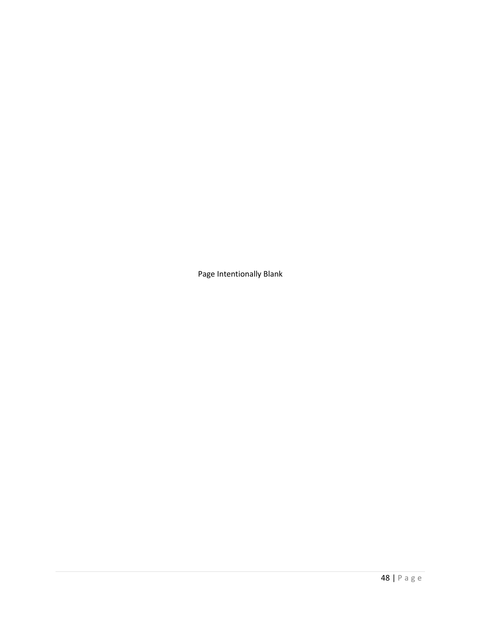Page Intentionally Blank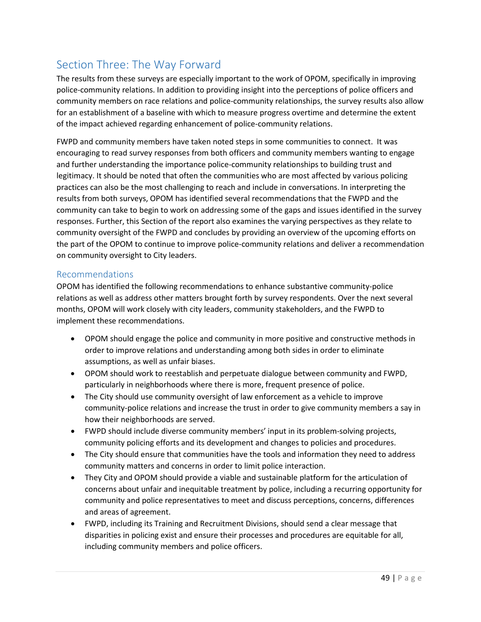# <span id="page-54-0"></span>Section Three: The Way Forward

The results from these surveys are especially important to the work of OPOM, specifically in improving police-community relations. In addition to providing insight into the perceptions of police officers and community members on race relations and police-community relationships, the survey results also allow for an establishment of a baseline with which to measure progress overtime and determine the extent of the impact achieved regarding enhancement of police-community relations.

FWPD and community members have taken noted steps in some communities to connect. It was encouraging to read survey responses from both officers and community members wanting to engage and further understanding the importance police-community relationships to building trust and legitimacy. It should be noted that often the communities who are most affected by various policing practices can also be the most challenging to reach and include in conversations. In interpreting the results from both surveys, OPOM has identified several recommendations that the FWPD and the community can take to begin to work on addressing some of the gaps and issues identified in the survey responses. Further, this Section of the report also examines the varying perspectives as they relate to community oversight of the FWPD and concludes by providing an overview of the upcoming efforts on the part of the OPOM to continue to improve police-community relations and deliver a recommendation on community oversight to City leaders.

#### <span id="page-54-1"></span>Recommendations

OPOM has identified the following recommendations to enhance substantive community-police relations as well as address other matters brought forth by survey respondents. Over the next several months, OPOM will work closely with city leaders, community stakeholders, and the FWPD to implement these recommendations.

- OPOM should engage the police and community in more positive and constructive methods in order to improve relations and understanding among both sides in order to eliminate assumptions, as well as unfair biases.
- OPOM should work to reestablish and perpetuate dialogue between community and FWPD, particularly in neighborhoods where there is more, frequent presence of police.
- The City should use community oversight of law enforcement as a vehicle to improve community-police relations and increase the trust in order to give community members a say in how their neighborhoods are served.
- FWPD should include diverse community members' input in its problem-solving projects, community policing efforts and its development and changes to policies and procedures.
- The City should ensure that communities have the tools and information they need to address community matters and concerns in order to limit police interaction.
- They City and OPOM should provide a viable and sustainable platform for the articulation of concerns about unfair and inequitable treatment by police, including a recurring opportunity for community and police representatives to meet and discuss perceptions, concerns, differences and areas of agreement.
- FWPD, including its Training and Recruitment Divisions, should send a clear message that disparities in policing exist and ensure their processes and procedures are equitable for all, including community members and police officers.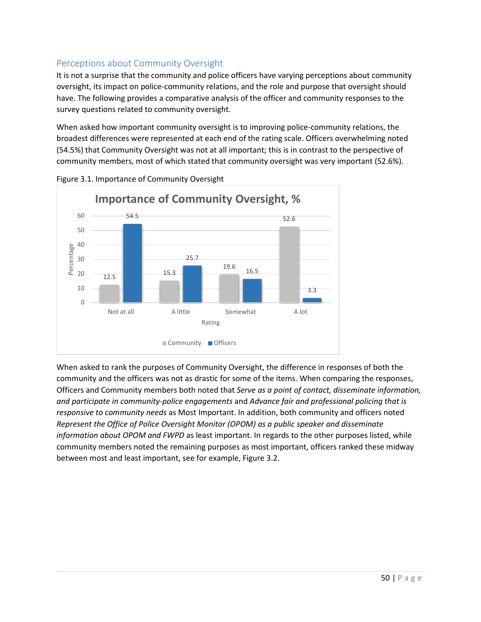### <span id="page-55-0"></span>Perceptions about Community Oversight

It is not a surprise that the community and police officers have varying perceptions about community oversight, its impact on police-community relations, and the role and purpose that oversight should have. The following provides a comparative analysis of the officer and community responses to the survey questions related to community oversight.

When asked how important community oversight is to improving police-community relations, the broadest differences were represented at each end of the rating scale. Officers overwhelming noted (54.5%) that Community Oversight was not at all important; this is in contrast to the perspective of community members, most of which stated that community oversight was very important (52.6%).



<span id="page-55-1"></span>Figure 3.1. Importance of Community Oversight

When asked to rank the purposes of Community Oversight, the difference in responses of both the community and the officers was not as drastic for some of the items. When comparing the responses, Officers and Community members both noted that *Serve as a point of contact, disseminate information, and participate in community-police engagements* and *Advance fair and professional policing that is responsive to community needs* as Most Important. In addition, both community and officers noted *Represent the Office of Police Oversight Monitor (OPOM) as a public speaker and disseminate information about OPOM and FWPD* as least important. In regards to the other purposes listed, while community members noted the remaining purposes as most important, officers ranked these midway between most and least important, see for example, Figure 3.2.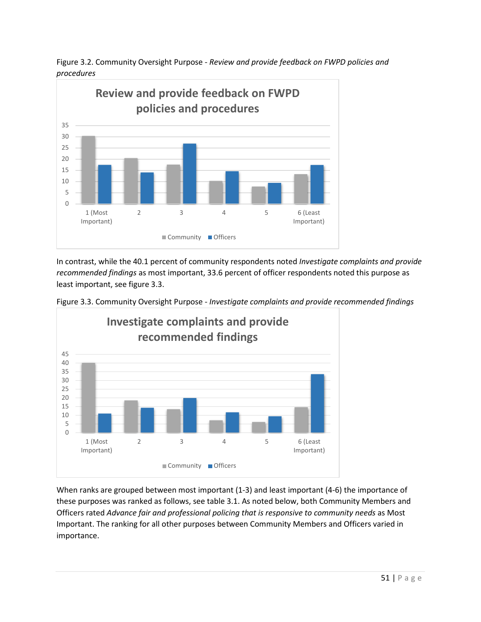

<span id="page-56-0"></span>Figure 3.2. Community Oversight Purpose - *Review and provide feedback on FWPD policies and procedures*

In contrast, while the 40.1 percent of community respondents noted *Investigate complaints and provide recommended findings* as most important, 33.6 percent of officer respondents noted this purpose as least important, see figure 3.3.



<span id="page-56-1"></span>

When ranks are grouped between most important (1-3) and least important (4-6) the importance of these purposes was ranked as follows, see table 3.1. As noted below, both Community Members and Officers rated *Advance fair and professional policing that is responsive to community needs* as Most Important. The ranking for all other purposes between Community Members and Officers varied in importance.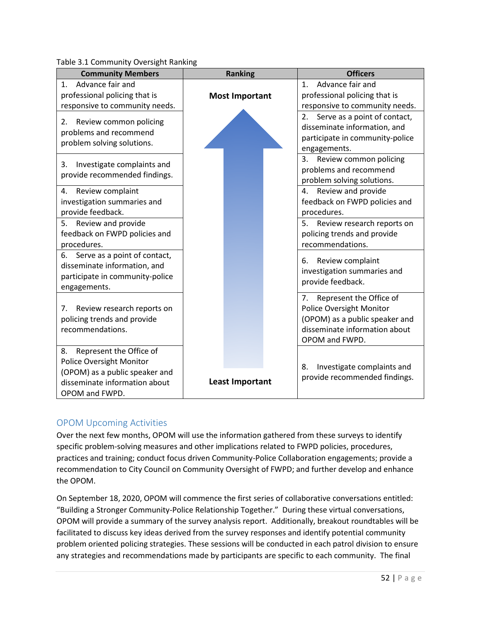<span id="page-57-1"></span>Table 3.1 Community Oversight Ranking

| <b>Community Members</b>           | <b>Ranking</b>         | <b>Officers</b>                           |  |  |
|------------------------------------|------------------------|-------------------------------------------|--|--|
| Advance fair and<br>1.             |                        | Advance fair and<br>1 <sub>1</sub>        |  |  |
| professional policing that is      | <b>Most Important</b>  | professional policing that is             |  |  |
| responsive to community needs.     |                        | responsive to community needs.            |  |  |
| Review common policing<br>2.       |                        | Serve as a point of contact,<br>2.        |  |  |
| problems and recommend             |                        | disseminate information, and              |  |  |
| problem solving solutions.         |                        | participate in community-police           |  |  |
|                                    |                        | engagements.                              |  |  |
| Investigate complaints and<br>3.   |                        | 3. Review common policing                 |  |  |
| provide recommended findings.      |                        | problems and recommend                    |  |  |
|                                    |                        | problem solving solutions.                |  |  |
| Review complaint<br>4.             |                        | 4. Review and provide                     |  |  |
| investigation summaries and        |                        | feedback on FWPD policies and             |  |  |
| provide feedback.                  |                        | procedures.                               |  |  |
| 5. Review and provide              |                        | Review research reports on<br>5.          |  |  |
| feedback on FWPD policies and      |                        | policing trends and provide               |  |  |
| procedures.                        |                        | recommendations.                          |  |  |
| Serve as a point of contact,<br>6. |                        | Review complaint<br>6.                    |  |  |
| disseminate information, and       |                        | investigation summaries and               |  |  |
| participate in community-police    |                        | provide feedback.                         |  |  |
| engagements.                       |                        |                                           |  |  |
|                                    |                        | Represent the Office of<br>7 <sub>1</sub> |  |  |
| Review research reports on<br>7.   |                        | Police Oversight Monitor                  |  |  |
| policing trends and provide        |                        | (OPOM) as a public speaker and            |  |  |
| recommendations.                   |                        | disseminate information about             |  |  |
|                                    |                        | OPOM and FWPD.                            |  |  |
| Represent the Office of<br>8.      |                        |                                           |  |  |
| Police Oversight Monitor           |                        | Investigate complaints and<br>8.          |  |  |
| (OPOM) as a public speaker and     | <b>Least Important</b> | provide recommended findings.             |  |  |
| disseminate information about      |                        |                                           |  |  |
| OPOM and FWPD.                     |                        |                                           |  |  |

### <span id="page-57-0"></span>OPOM Upcoming Activities

Over the next few months, OPOM will use the information gathered from these surveys to identify specific problem-solving measures and other implications related to FWPD policies, procedures, practices and training; conduct focus driven Community-Police Collaboration engagements; provide a recommendation to City Council on Community Oversight of FWPD; and further develop and enhance the OPOM.

On September 18, 2020, OPOM will commence the first series of collaborative conversations entitled: "Building a Stronger Community-Police Relationship Together." During these virtual conversations, OPOM will provide a summary of the survey analysis report. Additionally, breakout roundtables will be facilitated to discuss key ideas derived from the survey responses and identify potential community problem oriented policing strategies. These sessions will be conducted in each patrol division to ensure any strategies and recommendations made by participants are specific to each community. The final